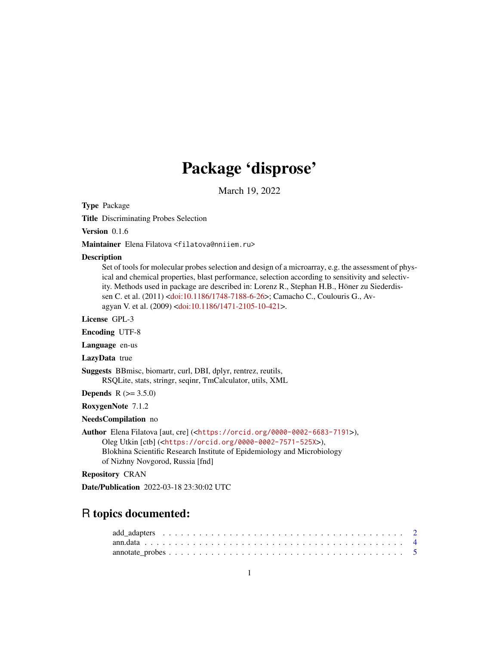# Package 'disprose'

March 19, 2022

<span id="page-0-0"></span>Type Package

Title Discriminating Probes Selection

Version 0.1.6

Maintainer Elena Filatova <filatova@nniiem.ru>

#### **Description**

Set of tools for molecular probes selection and design of a microarray, e.g. the assessment of physical and chemical properties, blast performance, selection according to sensitivity and selectivity. Methods used in package are described in: Lorenz R., Stephan H.B., Höner zu Siederdissen C. et al. (2011) [<doi:10.1186/1748-7188-6-26>](https://doi.org/10.1186/1748-7188-6-26); Camacho C., Coulouris G., Avagyan V. et al. (2009) [<doi:10.1186/1471-2105-10-421>](https://doi.org/10.1186/1471-2105-10-421).

License GPL-3

Encoding UTF-8

Language en-us

LazyData true

Suggests BBmisc, biomartr, curl, DBI, dplyr, rentrez, reutils, RSQLite, stats, stringr, seqinr, TmCalculator, utils, XML

**Depends**  $R (= 3.5.0)$ 

RoxygenNote 7.1.2

NeedsCompilation no

Author Elena Filatova [aut, cre] (<<https://orcid.org/0000-0002-6683-7191>>), Oleg Utkin [ctb] (<<https://orcid.org/0000-0002-7571-525X>>), Blokhina Scientific Research Institute of Epidemiology and Microbiology of Nizhny Novgorod, Russia [fnd]

Repository CRAN

Date/Publication 2022-03-18 23:30:02 UTC

# R topics documented: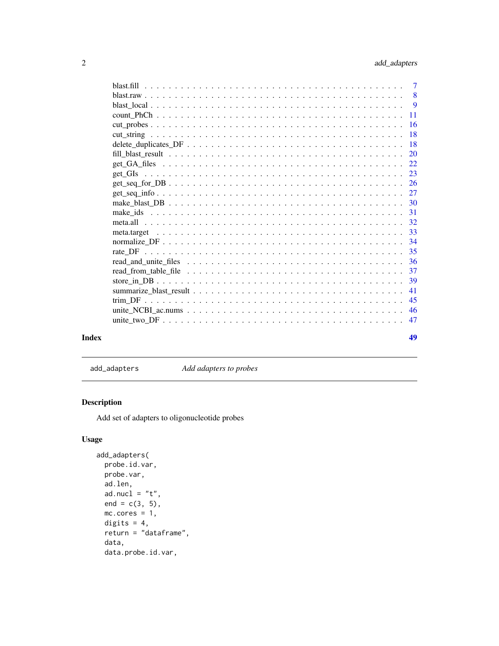<span id="page-1-0"></span>

| Index | 49 |
|-------|----|

add\_adapters *Add adapters to probes*

# Description

Add set of adapters to oligonucleotide probes

# Usage

```
add_adapters(
 probe.id.var,
 probe.var,
 ad.len,
 ad.nucl = "t",end = c(3, 5),
 mc.cores = 1,
 digits = 4,
  return = "dataframe",
 data,
 data.probe.id.var,
```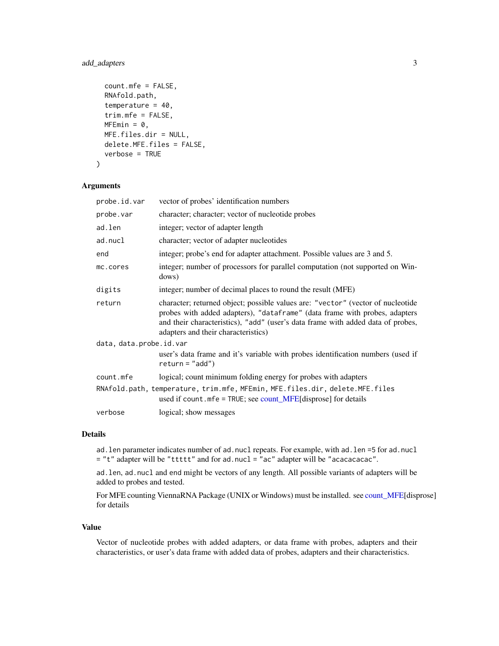# <span id="page-2-0"></span>add\_adapters 3

```
count.mfe = FALSE,
RNAfold.path,
temperature = 40,
trim.mfe = FALSE,
MFEmin = 0,
MFE.files.dir = NULL,
delete.MFE.files = FALSE,
verbose = TRUE
```
# Arguments

 $\lambda$ 

| probe.id.var                                                                                                                                      | vector of probes' identification numbers                                                                                                                                                                                                                                                |  |  |  |
|---------------------------------------------------------------------------------------------------------------------------------------------------|-----------------------------------------------------------------------------------------------------------------------------------------------------------------------------------------------------------------------------------------------------------------------------------------|--|--|--|
| probe.var                                                                                                                                         | character; character; vector of nucleotide probes                                                                                                                                                                                                                                       |  |  |  |
| ad.len                                                                                                                                            | integer; vector of adapter length                                                                                                                                                                                                                                                       |  |  |  |
| ad.nucl                                                                                                                                           | character; vector of adapter nucleotides                                                                                                                                                                                                                                                |  |  |  |
| end                                                                                                                                               | integer; probe's end for adapter attachment. Possible values are 3 and 5.                                                                                                                                                                                                               |  |  |  |
| mc.cores                                                                                                                                          | integer; number of processors for parallel computation (not supported on Win-<br>dows)                                                                                                                                                                                                  |  |  |  |
| digits                                                                                                                                            | integer; number of decimal places to round the result (MFE)                                                                                                                                                                                                                             |  |  |  |
| return                                                                                                                                            | character; returned object; possible values are: "vector" (vector of nucleotide<br>probes with added adapters), "dataframe" (data frame with probes, adapters<br>and their characteristics), "add" (user's data frame with added data of probes,<br>adapters and their characteristics) |  |  |  |
| data, data.probe.id.var                                                                                                                           |                                                                                                                                                                                                                                                                                         |  |  |  |
|                                                                                                                                                   | user's data frame and it's variable with probes identification numbers (used if<br>$return = "add")$                                                                                                                                                                                    |  |  |  |
| count.mfe                                                                                                                                         | logical; count minimum folding energy for probes with adapters                                                                                                                                                                                                                          |  |  |  |
| RNAfold.path, temperature, trim.mfe, MFEmin, MFE.files.dir, delete.MFE.files<br>used if count. $mfe = TRUE$ ; see count_MFE[disprose] for details |                                                                                                                                                                                                                                                                                         |  |  |  |
| verbose                                                                                                                                           | logical; show messages                                                                                                                                                                                                                                                                  |  |  |  |
|                                                                                                                                                   |                                                                                                                                                                                                                                                                                         |  |  |  |

# Details

ad.len parameter indicates number of ad.nucl repeats. For example, with ad.len =5 for ad.nucl = "t" adapter will be "ttttt" and for ad.nucl = "ac" adapter will be "acacacacac".

ad.len, ad.nucl and end might be vectors of any length. All possible variants of adapters will be added to probes and tested.

For MFE counting ViennaRNA Package (UNIX or Windows) must be installed. see [count\\_MFE\[](#page-10-1)disprose] for details

#### Value

Vector of nucleotide probes with added adapters, or data frame with probes, adapters and their characteristics, or user's data frame with added data of probes, adapters and their characteristics.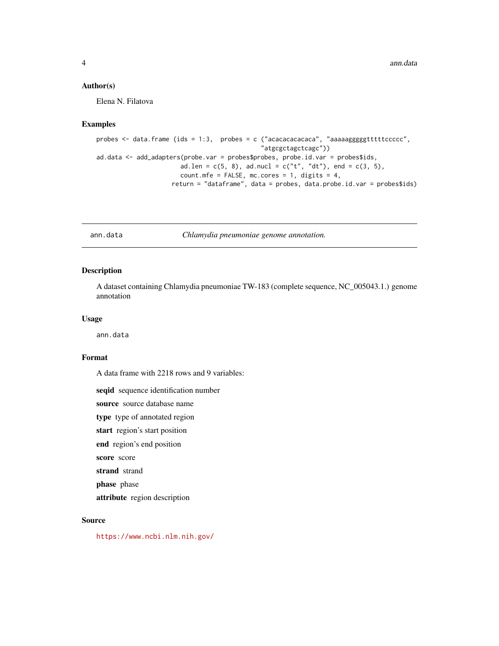# <span id="page-3-0"></span>Author(s)

Elena N. Filatova

#### Examples

```
probes <- data.frame (ids = 1:3, probes = c ("acacacacacaca", "aaaaagggggtttttccccc",
                                             "atgcgctagctcagc"))
ad.data <- add_adapters(probe.var = probes$probes, probe.id.var = probes$ids,
                      ad.len = c(5, 8), ad.nucl = c("t", "dt"), end = c(3, 5),
                      count.mfe = FALSE, mc.cores = 1, digits = 4,return = "dataframe", data = probes, data.probe.id.var = probes$ids)
```
ann.data *Chlamydia pneumoniae genome annotation.*

# Description

A dataset containing Chlamydia pneumoniae TW-183 (complete sequence, NC\_005043.1.) genome annotation

# Usage

ann.data

#### Format

A data frame with 2218 rows and 9 variables:

seqid sequence identification number

source source database name

type type of annotated region

start region's start position

end region's end position

score score

strand strand

phase phase

attribute region description

# Source

<https://www.ncbi.nlm.nih.gov/>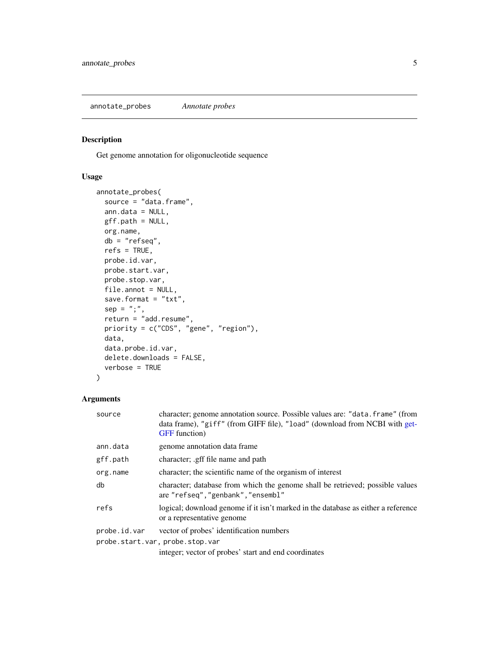<span id="page-4-0"></span>annotate\_probes *Annotate probes*

# Description

Get genome annotation for oligonucleotide sequence

#### Usage

```
annotate_probes(
  source = "data.frame",
  ann.data = NULL,
 gff.path = NULL,
 org.name,
  db = "refseq",
  refs = TRUE,probe.id.var,
 probe.start.var,
 probe.stop.var,
  file.annot = NULL,
  save.format = "txt",sep = ";",
  return = "add.resume",
 priority = c("CDS", "gene", "region"),
  data,
  data.probe.id.var,
  delete.downloads = FALSE,
  verbose = TRUE
\mathcal{E}
```
# Arguments

| source                          | character; genome annotation source. Possible values are: "data. frame" (from<br>data frame), "giff" (from GIFF file), "load" (download from NCBI with get-<br><b>GFF</b> function) |  |  |  |
|---------------------------------|-------------------------------------------------------------------------------------------------------------------------------------------------------------------------------------|--|--|--|
| ann.data                        | genome annotation data frame                                                                                                                                                        |  |  |  |
| gff.path                        | character; gff file name and path                                                                                                                                                   |  |  |  |
| org.name                        | character; the scientific name of the organism of interest                                                                                                                          |  |  |  |
| db                              | character; database from which the genome shall be retrieved; possible values<br>are "refseq", "genbank", "ensembl"                                                                 |  |  |  |
| refs                            | logical; download genome if it isn't marked in the database as either a reference<br>or a representative genome                                                                     |  |  |  |
| probe.id.var                    | vector of probes' identification numbers                                                                                                                                            |  |  |  |
| probe.start.var, probe.stop.var |                                                                                                                                                                                     |  |  |  |
|                                 | integer; vector of probes' start and end coordinates                                                                                                                                |  |  |  |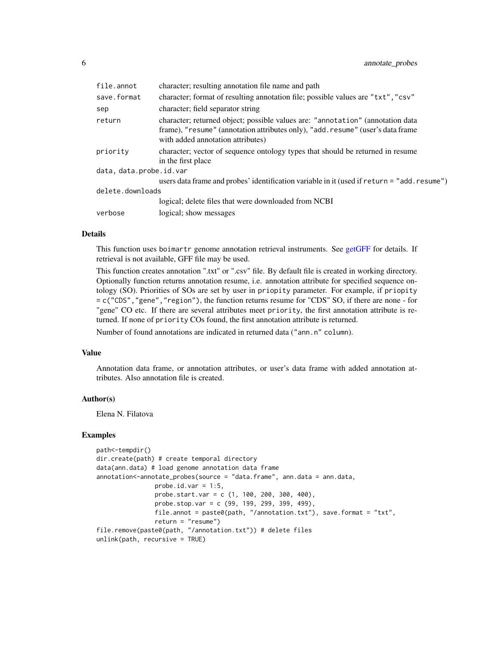<span id="page-5-0"></span>

| file.annot              | character; resulting annotation file name and path                                                                                                                                                     |
|-------------------------|--------------------------------------------------------------------------------------------------------------------------------------------------------------------------------------------------------|
| save.format             | character; format of resulting annotation file; possible values are "txt", "csv"                                                                                                                       |
| sep                     | character; field separator string                                                                                                                                                                      |
| return                  | character; returned object; possible values are: "annotation" (annotation data<br>frame), "resume" (annotation attributes only), "add. resume" (user's data frame<br>with added annotation attributes) |
| priority                | character; vector of sequence ontology types that should be returned in resume<br>in the first place                                                                                                   |
| data, data.probe.id.var |                                                                                                                                                                                                        |
|                         | users data frame and probes' identification variable in it (used if return = "add.resume")                                                                                                             |
| delete.downloads        |                                                                                                                                                                                                        |
|                         | logical; delete files that were downloaded from NCBI                                                                                                                                                   |
| verbose                 | logical; show messages                                                                                                                                                                                 |
|                         |                                                                                                                                                                                                        |

# Details

This function uses boimartr genome annotation retrieval instruments. See [getGFF](#page-0-0) for details. If retrieval is not available, GFF file may be used.

This function creates annotation ".txt" or ".csv" file. By default file is created in working directory. Optionally function returns annotation resume, i.e. annotation attribute for specified sequence ontology (SO). Priorities of SOs are set by user in priopity parameter. For example, if priopity = c("CDS","gene","region"), the function returns resume for "CDS" SO, if there are none - for "gene" CO etc. If there are several attributes meet priority, the first annotation attribute is returned. If none of priority COs found, the first annotation attribute is returned.

Number of found annotations are indicated in returned data ("ann.n" column).

#### Value

Annotation data frame, or annotation attributes, or user's data frame with added annotation attributes. Also annotation file is created.

# Author(s)

Elena N. Filatova

# Examples

```
path<-tempdir()
dir.create(path) # create temporal directory
data(ann.data) # load genome annotation data frame
annotation \leftarrow annotate\_probes(source = "data-frame", ann.data = ann.data,probe.id.var = 1:5,
                probe.start.var = c (1, 100, 200, 300, 400),
                probe.stop.var = c (99, 199, 299, 399, 499),
                file.annot = paste0(path, "/annotation.txt"), save.format = "txt",
                return = "resume")
file.remove(paste0(path, "/annotation.txt")) # delete files
unlink(path, recursive = TRUE)
```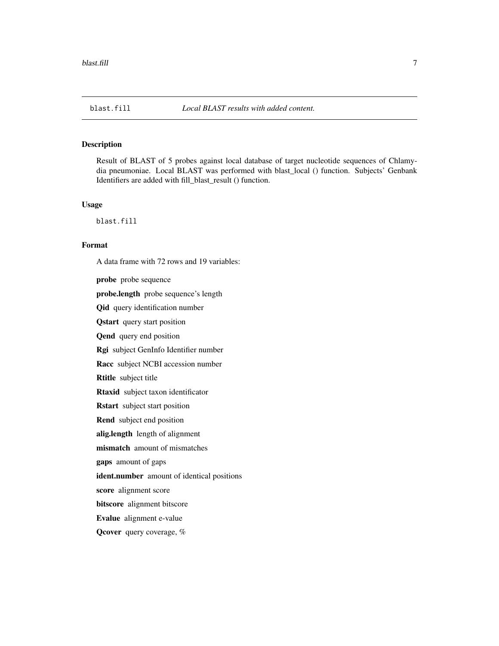<span id="page-6-0"></span>Result of BLAST of 5 probes against local database of target nucleotide sequences of Chlamydia pneumoniae. Local BLAST was performed with blast\_local () function. Subjects' Genbank Identifiers are added with fill\_blast\_result () function.

#### Usage

blast.fill

#### Format

A data frame with 72 rows and 19 variables:

probe probe sequence probe.length probe sequence's length Qid query identification number Qstart query start position Qend query end position Rgi subject GenInfo Identifier number Racc subject NCBI accession number Rtitle subject title Rtaxid subject taxon identificator Rstart subject start position Rend subject end position alig.length length of alignment mismatch amount of mismatches gaps amount of gaps ident.number amount of identical positions score alignment score bitscore alignment bitscore Evalue alignment e-value Qcover query coverage, %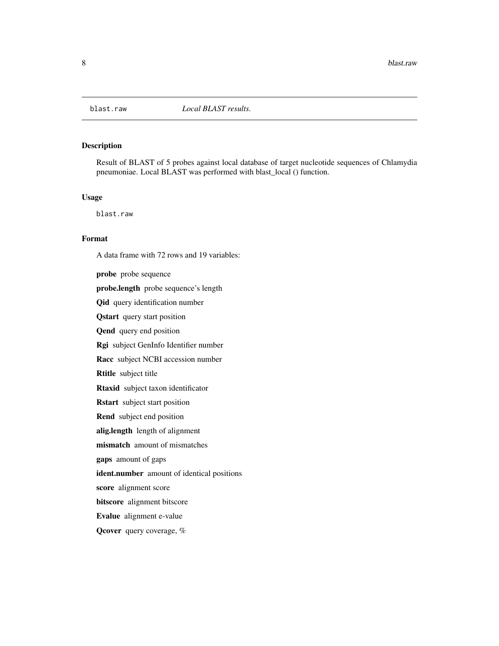<span id="page-7-0"></span>

Result of BLAST of 5 probes against local database of target nucleotide sequences of Chlamydia pneumoniae. Local BLAST was performed with blast\_local () function.

# Usage

blast.raw

# Format

probe probe sequence probe.length probe sequence's length Qid query identification number Qstart query start position Qend query end position Rgi subject GenInfo Identifier number Racc subject NCBI accession number Rtitle subject title Rtaxid subject taxon identificator Rstart subject start position Rend subject end position alig.length length of alignment mismatch amount of mismatches gaps amount of gaps ident.number amount of identical positions score alignment score bitscore alignment bitscore Evalue alignment e-value Qcover query coverage, %

A data frame with 72 rows and 19 variables: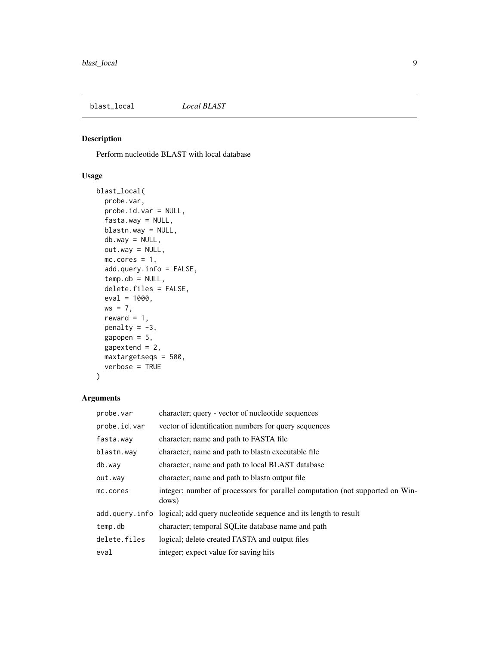<span id="page-8-1"></span><span id="page-8-0"></span>

Perform nucleotide BLAST with local database

# Usage

```
blast_local(
 probe.var,
 probe.id.var = NULL,
  fasta.way = NULL,
 blastn.way = NULL,
  db.way = NULL,out.way = NULL,mc.cores = 1,
  add.query.info = FALSE,
  temp. db = NULL,delete.files = FALSE,
  eval = 1000,ws = 7,
  reward = 1,
 penalty = -3,
  gapopen = 5,
 gapextend = 2,
 maxtargetseqs = 500,
 verbose = TRUE
\mathcal{L}
```
#### Arguments

| probe.var    | character; query - vector of nucleotide sequences                                      |
|--------------|----------------------------------------------------------------------------------------|
| probe.id.var | vector of identification numbers for query sequences                                   |
| fasta.way    | character; name and path to FASTA file                                                 |
| blastn.way   | character; name and path to blastn executable file                                     |
| db.way       | character; name and path to local BLAST database                                       |
| out.way      | character; name and path to blast noutput file                                         |
| mc.cores     | integer; number of processors for parallel computation (not supported on Win-<br>dows) |
|              | add.query.info logical; add query nucleotide sequence and its length to result         |
| temp.db      | character; temporal SQLite database name and path                                      |
| delete.files | logical; delete created FASTA and output files                                         |
| eval         | integer; expect value for saving hits                                                  |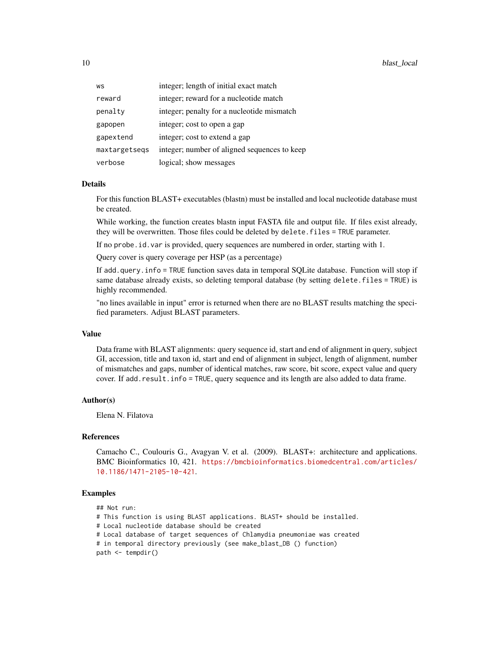| WS            | integer; length of initial exact match       |
|---------------|----------------------------------------------|
| reward        | integer; reward for a nucleotide match       |
| penalty       | integer; penalty for a nucleotide mismatch   |
| gapopen       | integer; cost to open a gap                  |
| gapextend     | integer; cost to extend a gap                |
| maxtargetsegs | integer; number of aligned sequences to keep |
| verbose       | logical; show messages                       |

# Details

For this function BLAST+ executables (blastn) must be installed and local nucleotide database must be created.

While working, the function creates blastn input FASTA file and output file. If files exist already, they will be overwritten. Those files could be deleted by delete.files = TRUE parameter.

If no probe.id.var is provided, query sequences are numbered in order, starting with 1.

Query cover is query coverage per HSP (as a percentage)

If add.query.info = TRUE function saves data in temporal SQLite database. Function will stop if same database already exists, so deleting temporal database (by setting delete.files = TRUE) is highly recommended.

"no lines available in input" error is returned when there are no BLAST results matching the specified parameters. Adjust BLAST parameters.

#### Value

Data frame with BLAST alignments: query sequence id, start and end of alignment in query, subject GI, accession, title and taxon id, start and end of alignment in subject, length of alignment, number of mismatches and gaps, number of identical matches, raw score, bit score, expect value and query cover. If add.result.info = TRUE, query sequence and its length are also added to data frame.

#### Author(s)

Elena N. Filatova

#### References

Camacho C., Coulouris G., Avagyan V. et al. (2009). BLAST+: architecture and applications. BMC Bioinformatics 10, 421. [https://bmcbioinformatics.biomedcentral.com/articles/](https://bmcbioinformatics.biomedcentral.com/articles/10.1186/1471-2105-10-421) [10.1186/1471-2105-10-421](https://bmcbioinformatics.biomedcentral.com/articles/10.1186/1471-2105-10-421).

#### Examples

- ## Not run:
- # This function is using BLAST applications. BLAST+ should be installed.
- # Local nucleotide database should be created
- # Local database of target sequences of Chlamydia pneumoniae was created
- # in temporal directory previously (see make\_blast\_DB () function)

path <- tempdir()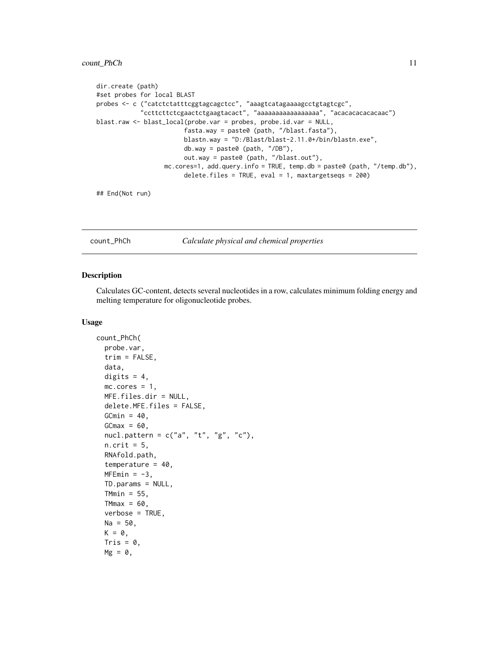# <span id="page-10-0"></span>count\_PhCh 11

```
dir.create (path)
#set probes for local BLAST
probes <- c ("catctctatttcggtagcagctcc", "aaagtcatagaaaagcctgtagtcgc",
            "ccttcttctcgaactctgaagtacact", "aaaaaaaaaaaaaaaaa", "acacacacacacaac")
blast.raw <- blast_local(probe.var = probes, probe.id.var = NULL,
                        fasta.way = paste0 (path, "/blast.fasta"),
                        blastn.way = "D:/Blast/blast-2.11.0+/bin/blastn.exe",
                        db.way = paste0 (path, "/DB"),
                        out.way = paste0 (path, "/blast.out"),
                  mc.cores=1, add.query.info = TRUE, temp.db = paste0 (path, "/temp.db"),
                        delete.files = TRUE, eval = 1, maxtargetseqs = 200)
```
## End(Not run)

count\_PhCh *Calculate physical and chemical properties*

#### <span id="page-10-1"></span>Description

Calculates GC-content, detects several nucleotides in a row, calculates minimum folding energy and melting temperature for oligonucleotide probes.

#### Usage

```
count_PhCh(
  probe.var,
  trim = FALSE,data,
  digits = 4,
  mc.cores = 1,
 MFE.files.dir = NULL,
  delete.MFE.files = FALSE,
  GCmin = 40,
  GCmax = 60,
  nucl.pattern = c("a", "t", "g", "c"),n.crit = 5,
  RNAfold.path,
  temperature = 40,
  MFEmin = -3,
  TD.params = NULL,
  TMmin = 55,
  TMmax = 60,
  verbose = TRUE,
  Na = 50,
  K = 0,
  Tris = 0,
  Mg = 0,
```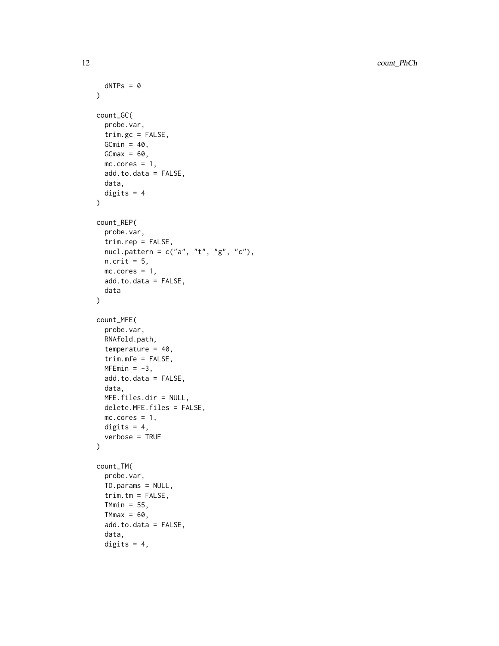```
dNTPs = 0\lambdacount_GC(
  probe.var,
  trim.gc = FALSE,
  GCmin = 40,
  GCmax = 60,
  mc.core = 1,
  add.to.data = FALSE,
  data,
  digits = 4\mathcal{L}count_REP(
  probe.var,
  trim.rep = FALSE,
  nucl.pattern = c("a", "t", "g", "c"),
  n. crit = 5,
  mc.cores = 1,
  add.to.data = FALSE,
  data
\mathcal{L}count_MFE(
  probe.var,
  RNAfold.path,
  temperature = 40,
  trim.mfe = FALSE,
  MFEmin = -3,
  add.to.data = FALSE,
  data,
  MFE.files.dir = NULL,
  delete.MFE.files = FALSE,
  mc.core = 1,
  digits = 4,
  verbose = TRUE
\mathcal{L}count_TM(
  probe.var,
  TD.params = NULL,
  trim.htm = FALSE,TMmin = 55,
  TMmax = 60,
  add.to.data = FALSE,
  data,
  digits = 4,
```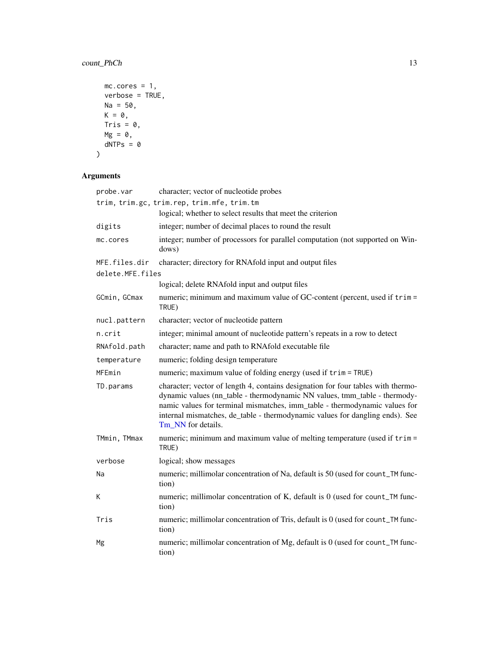# <span id="page-12-0"></span>count\_PhCh 13

```
mc.cores = 1,verbose = TRUE,
 Na = 50,K = 0,Tris = 0,
 Mg = 0,dNTPs = 0\mathcal{L}
```
# Arguments

| probe.var        | character; vector of nucleotide probes                                                                                                                                                                                                                                                                                                            |
|------------------|---------------------------------------------------------------------------------------------------------------------------------------------------------------------------------------------------------------------------------------------------------------------------------------------------------------------------------------------------|
|                  | trim, trim.gc, trim.rep, trim.mfe, trim.tm                                                                                                                                                                                                                                                                                                        |
|                  | logical; whether to select results that meet the criterion                                                                                                                                                                                                                                                                                        |
| digits           | integer; number of decimal places to round the result                                                                                                                                                                                                                                                                                             |
| mc.cores         | integer; number of processors for parallel computation (not supported on Win-<br>dows)                                                                                                                                                                                                                                                            |
| MFE.files.dir    | character; directory for RNAfold input and output files                                                                                                                                                                                                                                                                                           |
| delete.MFE.files |                                                                                                                                                                                                                                                                                                                                                   |
|                  | logical; delete RNAfold input and output files                                                                                                                                                                                                                                                                                                    |
| GCmin, GCmax     | numeric; minimum and maximum value of GC-content (percent, used if trim =<br>TRUE)                                                                                                                                                                                                                                                                |
| nucl.pattern     | character; vector of nucleotide pattern                                                                                                                                                                                                                                                                                                           |
| n.crit           | integer; minimal amount of nucleotide pattern's repeats in a row to detect                                                                                                                                                                                                                                                                        |
| RNAfold.path     | character; name and path to RNAfold executable file                                                                                                                                                                                                                                                                                               |
| temperature      | numeric; folding design temperature                                                                                                                                                                                                                                                                                                               |
| MFEmin           | numeric; maximum value of folding energy (used if trim = TRUE)                                                                                                                                                                                                                                                                                    |
| TD.params        | character; vector of length 4, contains designation for four tables with thermo-<br>dynamic values (nn_table - thermodynamic NN values, tmm_table - thermody-<br>namic values for terminal mismatches, imm_table - thermodynamic values for<br>internal mismatches, de_table - thermodynamic values for dangling ends). See<br>Tm NN for details. |
| TMmin, TMmax     | numeric; minimum and maximum value of melting temperature (used if trim =<br>TRUE)                                                                                                                                                                                                                                                                |
| verbose          | logical; show messages                                                                                                                                                                                                                                                                                                                            |
| Na               | numeric; millimolar concentration of Na, default is 50 (used for count_TM func-<br>tion)                                                                                                                                                                                                                                                          |
| Κ                | numeric; millimolar concentration of K, default is 0 (used for count_TM func-<br>tion)                                                                                                                                                                                                                                                            |
| Tris             | numeric; millimolar concentration of Tris, default is 0 (used for count_TM func-<br>tion)                                                                                                                                                                                                                                                         |
| Mg               | numeric; millimolar concentration of Mg, default is 0 (used for count_TM func-<br>tion)                                                                                                                                                                                                                                                           |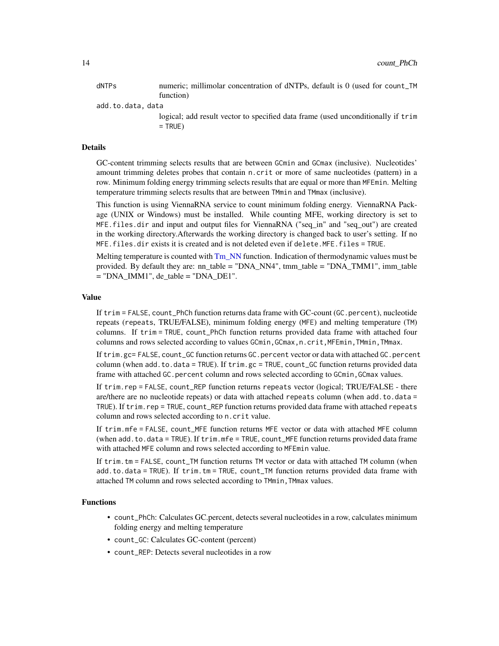<span id="page-13-0"></span>dNTPs numeric; millimolar concentration of dNTPs, default is 0 (used for count\_TM function)

add.to.data, data

logical; add result vector to specified data frame (used unconditionally if trim  $=$  TRUE)

#### Details

GC-content trimming selects results that are between GCmin and GCmax (inclusive). Nucleotides' amount trimming deletes probes that contain n.crit or more of same nucleotides (pattern) in a row. Minimum folding energy trimming selects results that are equal or more than MFEmin. Melting temperature trimming selects results that are between TMmin and TMmax (inclusive).

This function is using ViennaRNA service to count minimum folding energy. ViennaRNA Package (UNIX or Windows) must be installed. While counting MFE, working directory is set to MFE.files.dir and input and output files for ViennaRNA ("seq\_in" and "seq\_out") are created in the working directory.Afterwards the working directory is changed back to user's setting. If no MFE.files.dir exists it is created and is not deleted even if delete.MFE.files = TRUE.

Melting temperature is counted with [Tm\\_NN](#page-0-0) function. Indication of thermodynamic values must be provided. By default they are: nn\_table = "DNA\_NN4", tmm\_table = "DNA\_TMM1", imm\_table  $=$  "DNA\_IMM1", de\_table  $=$  "DNA\_DE1".

# Value

If trim = FALSE, count\_PhCh function returns data frame with GC-count (GC.percent), nucleotide repeats (repeats, TRUE/FALSE), minimum folding energy (MFE) and melting temperature (TM) columns. If trim = TRUE, count\_PhCh function returns provided data frame with attached four columns and rows selected according to values GCmin,GCmax,n.crit,MFEmin,TMmin,TMmax.

If trim.gc= FALSE, count\_GC function returns GC.percent vector or data with attached GC.percent column (when add.to.data = TRUE). If trim.gc = TRUE, count\_GC function returns provided data frame with attached GC.percent column and rows selected according to GCmin,GCmax values.

If trim.rep = FALSE, count\_REP function returns repeats vector (logical; TRUE/FALSE - there are/there are no nucleotide repeats) or data with attached repeats column (when add.to.data = TRUE). If trim.rep = TRUE, count\_REP function returns provided data frame with attached repeats column and rows selected according to n.crit value.

If trim.mfe = FALSE, count\_MFE function returns MFE vector or data with attached MFE column (when add.to.data = TRUE). If trim.mfe = TRUE, count\_MFE function returns provided data frame with attached MFE column and rows selected according to MFEmin value.

If trim.tm = FALSE, count\_TM function returns TM vector or data with attached TM column (when add.to.data = TRUE). If trim.tm = TRUE, count\_TM function returns provided data frame with attached TM column and rows selected according to TMmin,TMmax values.

# Functions

- count\_PhCh: Calculates GC.percent, detects several nucleotides in a row, calculates minimum folding energy and melting temperature
- count\_GC: Calculates GC-content (percent)
- count\_REP: Detects several nucleotides in a row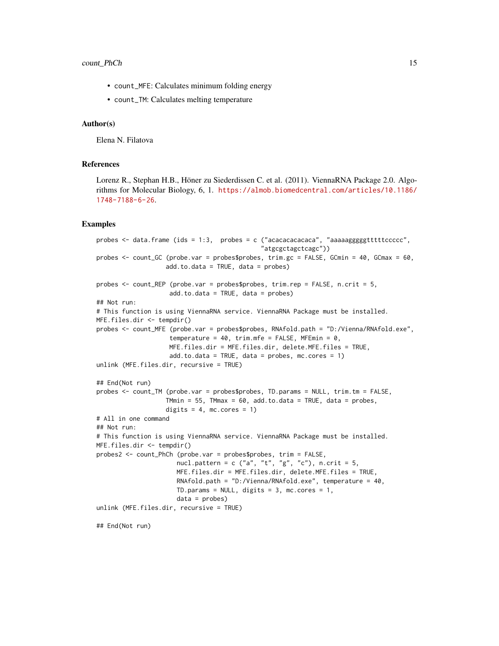- count\_MFE: Calculates minimum folding energy
- count\_TM: Calculates melting temperature

#### Author(s)

Elena N. Filatova

#### References

Lorenz R., Stephan H.B., Höner zu Siederdissen C. et al. (2011). ViennaRNA Package 2.0. Algorithms for Molecular Biology, 6, 1. [https://almob.biomedcentral.com/articles/10.1186/](https://almob.biomedcentral.com/articles/10.1186/1748-7188-6-26) [1748-7188-6-26](https://almob.biomedcentral.com/articles/10.1186/1748-7188-6-26).

#### Examples

```
probes <- data.frame (ids = 1:3, probes = c ("acacacacacaca", "aaaaagggggtttttccccc",
                                             "atgcgctagctcagc"))
probes <- count_GC (probe.var = probes$probes, trim.gc = FALSE, GCmin = 40, GCmax = 60,
                   add.to.data = TRUE, data = probes)probes <- count_REP (probe.var = probes$probes, trim.rep = FALSE, n.crit = 5,
                    add.to.data = TRUE, data = probes)## Not run:
# This function is using ViennaRNA service. ViennaRNA Package must be installed.
MFE.files.dir <- tempdir()
probes <- count_MFE (probe.var = probes$probes, RNAfold.path = "D:/Vienna/RNAfold.exe",
                    temperature = 40, trim.mfe = FALSE, MFEmin = 0,
                    MFE.files.dir = MFE.files.dir, delete.MFE.files = TRUE,
                    add.to.data = TRUE, data = probes, mc.cores = 1)
unlink (MFE.files.dir, recursive = TRUE)
## End(Not run)
probes <- count_TM (probe.var = probes$probes, TD.params = NULL, trim.tm = FALSE,
                   TMmin = 55, TMmax = 60, add.to.data = TRUE, data = probes,
                   digits = 4, mc.cores = 1)
# All in one command
## Not run:
# This function is using ViennaRNA service. ViennaRNA Package must be installed.
MFE.files.dir <- tempdir()
probes2 <- count_PhCh (probe.var = probes$probes, trim = FALSE,
                      nucl.pattern = c ("a", "t", "g", "c"), n.crit = 5,
                      MFE.files.dir = MFE.files.dir, delete.MFE.files = TRUE,
                      RNAfold.path = "D:/Vienna/RNAfold.exe", temperature = 40,
                      TD.params = NULL, digits = 3, mc.cores = 1,
                      data = probes)
unlink (MFE.files.dir, recursive = TRUE)
## End(Not run)
```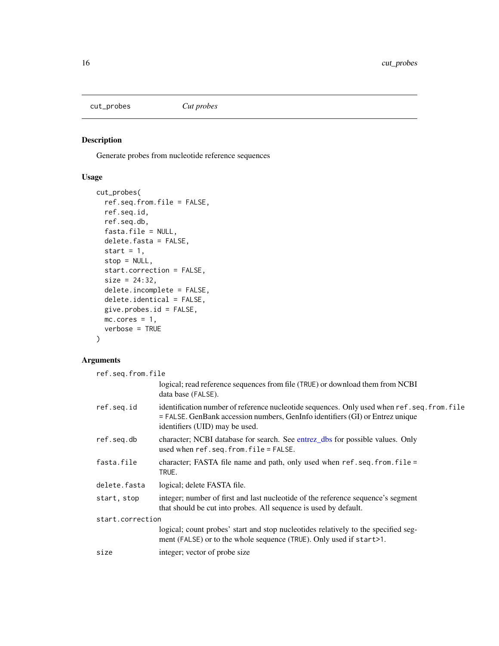<span id="page-15-0"></span>

Generate probes from nucleotide reference sequences

# Usage

```
cut_probes(
  ref.seq.from.file = FALSE,
 ref.seq.id,
 ref.seq.db,
  fasta.file = NULL,
 delete.fasta = FALSE,
 start = 1,stop = NULL,
 start.correction = FALSE,
 size = 24:32,delete.incomplete = FALSE,
 delete.identical = FALSE,
 give.probes.id = FALSE,
 mc.cores = 1,
 verbose = TRUE
)
```
# Arguments

| ref.seq.from.file |                                                                                                                                                                                                              |  |  |  |  |
|-------------------|--------------------------------------------------------------------------------------------------------------------------------------------------------------------------------------------------------------|--|--|--|--|
|                   | logical; read reference sequences from file (TRUE) or download them from NCBI<br>data base (FALSE).                                                                                                          |  |  |  |  |
| ref.seq.id        | identification number of reference nucleotide sequences. Only used when ref.seq.from.file<br>= FALSE. GenBank accession numbers, GenInfo identifiers (GI) or Entrez unique<br>identifiers (UID) may be used. |  |  |  |  |
| ref.seq.db        | character; NCBI database for search. See entrez dbs for possible values. Only<br>used when $ref.\,seq.\,from.\,file = FALSE.\,$                                                                              |  |  |  |  |
| fasta.file        | character; FASTA file name and path, only used when $ref.seq. from. file =$<br>TRUE.                                                                                                                         |  |  |  |  |
| delete.fasta      | logical; delete FASTA file.                                                                                                                                                                                  |  |  |  |  |
| start, stop       | integer; number of first and last nucleotide of the reference sequence's segment<br>that should be cut into probes. All sequence is used by default.                                                         |  |  |  |  |
| start.correction  |                                                                                                                                                                                                              |  |  |  |  |
|                   | logical; count probes' start and stop nucleotides relatively to the specified seg-<br>ment (FALSE) or to the whole sequence (TRUE). Only used if start>1.                                                    |  |  |  |  |
| size              | integer; vector of probe size.                                                                                                                                                                               |  |  |  |  |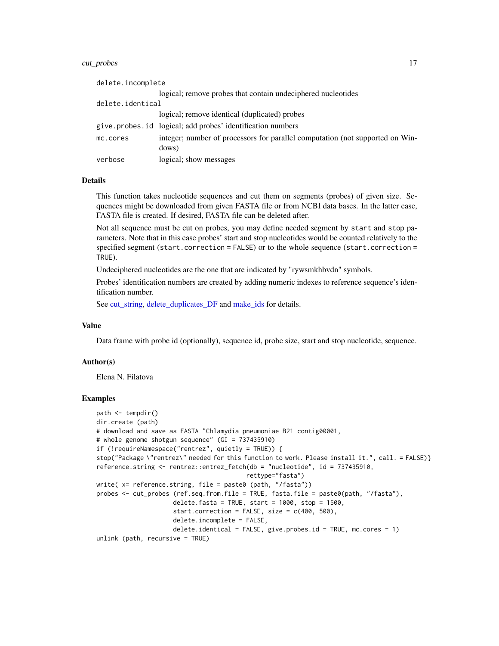#### <span id="page-16-0"></span>cut\_probes 17

| delete.incomplete |                                                                                        |
|-------------------|----------------------------------------------------------------------------------------|
|                   | logical; remove probes that contain undeciphered nucleotides                           |
| delete.identical  |                                                                                        |
|                   | logical; remove identical (duplicated) probes                                          |
|                   | give.probes.id logical; add probes' identification numbers                             |
| mc.cores          | integer; number of processors for parallel computation (not supported on Win-<br>dows) |
| verbose           | logical; show messages                                                                 |

#### Details

This function takes nucleotide sequences and cut them on segments (probes) of given size. Sequences might be downloaded from given FASTA file or from NCBI data bases. In the latter case, FASTA file is created. If desired, FASTA file can be deleted after.

Not all sequence must be cut on probes, you may define needed segment by start and stop parameters. Note that in this case probes' start and stop nucleotides would be counted relatively to the specified segment (start.correction = FALSE) or to the whole sequence (start.correction = TRUE).

Undeciphered nucleotides are the one that are indicated by "rywsmkhbvdn" symbols.

Probes' identification numbers are created by adding numeric indexes to reference sequence's identification number.

See [cut\\_string,](#page-17-1) [delete\\_duplicates\\_DF](#page-17-2) and [make\\_ids](#page-30-1) for details.

#### Value

Data frame with probe id (optionally), sequence id, probe size, start and stop nucleotide, sequence.

#### Author(s)

Elena N. Filatova

#### Examples

```
path <- tempdir()
dir.create (path)
# download and save as FASTA "Chlamydia pneumoniae B21 contig00001,
# whole genome shotgun sequence" (GI = 737435910)
if (!requireNamespace("rentrez", quietly = TRUE)) {
stop("Package \"rentrez\" needed for this function to work. Please install it.", call. = FALSE)}
reference.string <- rentrez::entrez_fetch(db = "nucleotide", id = 737435910,
                                         rettype="fasta")
write( x= reference.string, file = paste0 (path, "/fasta"))
probes <- cut_probes (ref.seq.from.file = TRUE, fasta.file = paste0(path, "/fasta"),
                     delete.fasta = TRUE, start = 1000, stop = 1500,
                     start.correction = FALSE, size = c(400, 500),
                     delete.incomplete = FALSE,
                     delete.identical = FALSE, give.probes.id = TRUE, mc.cores = 1)
unlink (path, recursive = TRUE)
```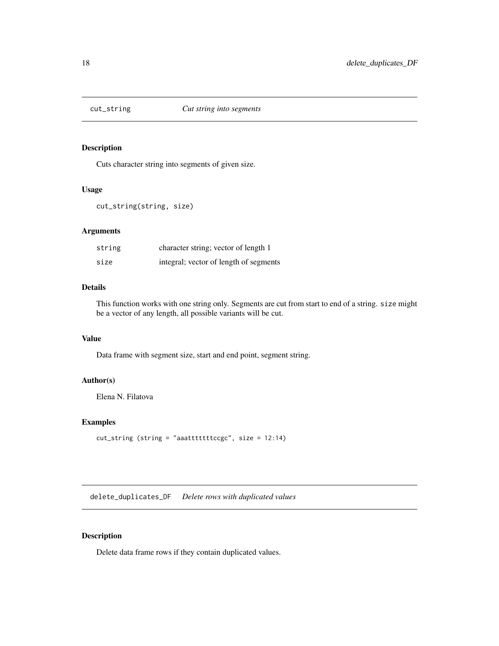<span id="page-17-1"></span><span id="page-17-0"></span>

Cuts character string into segments of given size.

#### Usage

```
cut_string(string, size)
```
# Arguments

| string | character string; vector of length 1   |
|--------|----------------------------------------|
| size   | integral; vector of length of segments |

# Details

This function works with one string only. Segments are cut from start to end of a string. size might be a vector of any length, all possible variants will be cut.

#### Value

Data frame with segment size, start and end point, segment string.

# Author(s)

Elena N. Filatova

# Examples

```
cut_string (string = "aaatttttttccgc", size = 12:14)
```
<span id="page-17-2"></span>delete\_duplicates\_DF *Delete rows with duplicated values*

# Description

Delete data frame rows if they contain duplicated values.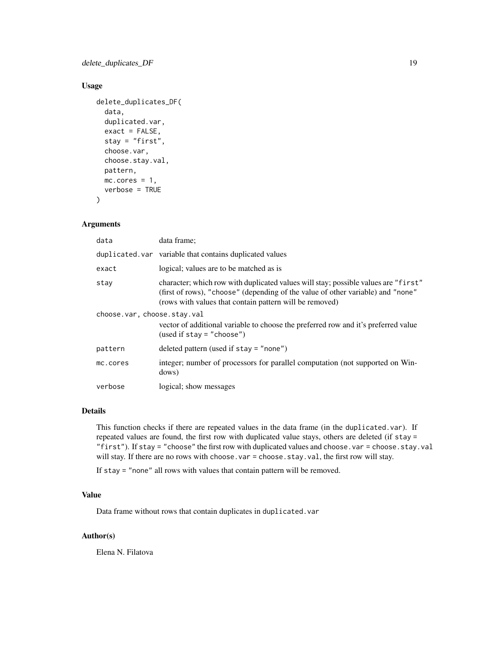delete\_duplicates\_DF 19

# Usage

```
delete_duplicates_DF(
  data,
  duplicated.var,
  exact = FALSE,stay = "first",
  choose.var,
  choose.stay.val,
 pattern,
 mc.cores = 1,
  verbose = TRUE
```
)

# Arguments

| data                        | data frame;                                                                                                                                                                                                                      |
|-----------------------------|----------------------------------------------------------------------------------------------------------------------------------------------------------------------------------------------------------------------------------|
|                             | duplicated, var variable that contains duplicated values                                                                                                                                                                         |
| exact                       | logical; values are to be matched as is                                                                                                                                                                                          |
| stay                        | character; which row with duplicated values will stay; possible values are "first"<br>(first of rows), "choose" (depending of the value of other variable) and "none"<br>(rows with values that contain pattern will be removed) |
| choose.var, choose.stay.val | vector of additional variable to choose the preferred row and it's preferred value<br>(used if $stay = "choose"$ )                                                                                                               |
| pattern                     | deleted pattern (used if $stay = "none")$                                                                                                                                                                                        |
| mc.cores                    | integer; number of processors for parallel computation (not supported on Win-<br>dows)                                                                                                                                           |
| verbose                     | logical; show messages                                                                                                                                                                                                           |

#### Details

This function checks if there are repeated values in the data frame (in the duplicated.var). If repeated values are found, the first row with duplicated value stays, others are deleted (if stay = "first"). If stay = "choose" the first row with duplicated values and choose.var = choose.stay.val will stay. If there are no rows with choose.var = choose.stay.val, the first row will stay.

If stay = "none" all rows with values that contain pattern will be removed.

#### Value

Data frame without rows that contain duplicates in duplicated.var

#### Author(s)

Elena N. Filatova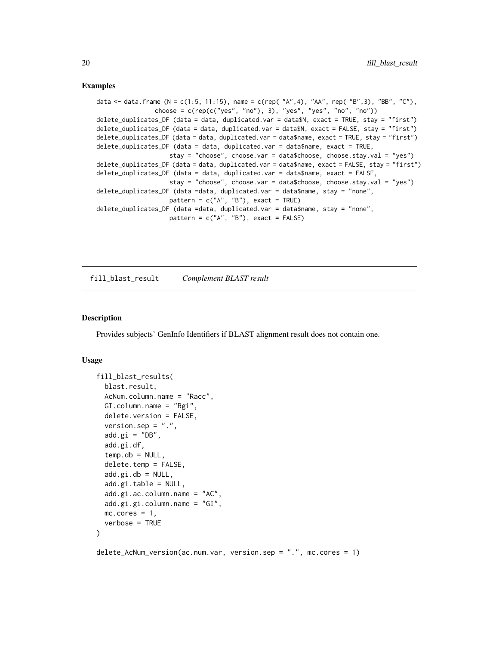### <span id="page-19-0"></span>Examples

```
data <- data.frame (N = c(1:5, 11:15), name = c(rep( "A",4), "AA", rep( "B",3), "BB", "C"),
                choose = c(rep(c("yes", "no"), 3), "yes", "yes", "no", "no"))delete_duplicates_DF (data = data, duplicated.var = data$N, exact = TRUE, stay = "first")
delete_duplicates_DF (data = data, duplicated.var = data$N, exact = FALSE, stay = "first")
delete_duplicates_DF (data = data, duplicated.var = data$name, exact = TRUE, stay = "first")
delete_duplicates_DF (data = data, duplicated.var = data$name, exact = TRUE,
                    stay = "choose", choose.var = data$choose, choose.stay.val = "yes")
delete_duplicates_DF (data = data, duplicated.var = data$name, exact = FALSE, stay = "first")
delete_duplicates_DF (data = data, duplicated.var = data$name, exact = FALSE,
                    stay = "choose", choose.var = data$choose, choose.stay.val = "yes")
delete_duplicates_DF (data =data, duplicated.var = data$name, stay = "none",
                    pattern = c("A", "B"), exact = TRUE)
delete_duplicates_DF (data =data, duplicated.var = data$name, stay = "none",
                    pattern = c("A", "B"), exact = FALSE)
```
fill\_blast\_result *Complement BLAST result*

#### Description

Provides subjects' GenInfo Identifiers if BLAST alignment result does not contain one.

#### Usage

```
fill_blast_results(
  blast.result,
  AcNum.column.name = "Racc",
  GI.column.name = "Rgi",
  delete.version = FALSE,
  version.sep = ".".add.gi = "DB",add.gi.df,
  temp.db = NULL,delete.temp = FALSE,
  add.gi.db = NULL,add.gi.table = NULL,
  add.gi.ac.column.name = "AC",
  add.gi.gi.column.name = "GI",
 mc.core = 1,
  verbose = TRUE
\lambda
```
delete\_AcNum\_version(ac.num.var, version.sep = ".", mc.cores = 1)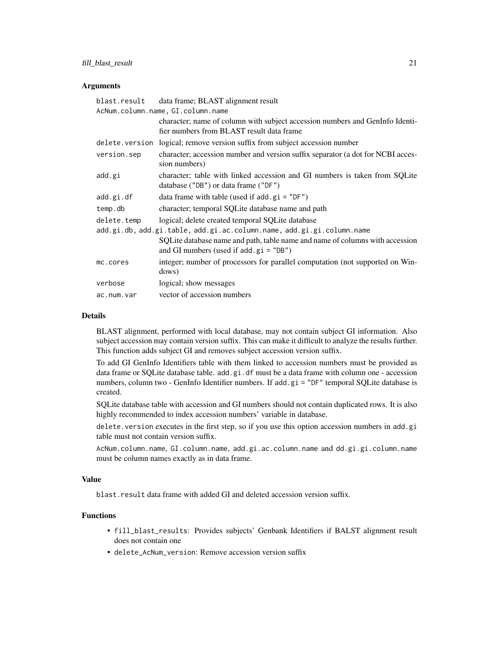# fill\_blast\_result 21

#### Arguments

|                                                                       | blast.result data frame; BLAST alignment result                                                                              |  |
|-----------------------------------------------------------------------|------------------------------------------------------------------------------------------------------------------------------|--|
| AcNum.column.name, GI.column.name                                     |                                                                                                                              |  |
|                                                                       | character; name of column with subject accession numbers and GenInfo Identi-<br>fier numbers from BLAST result data frame    |  |
|                                                                       | delete. version logical; remove version suffix from subject accession number                                                 |  |
| version.sep                                                           | character; accession number and version suffix separator (a dot for NCBI acces-<br>sion numbers)                             |  |
| add.gi                                                                | character; table with linked accession and GI numbers is taken from SQLite<br>database ("DB") or data frame ("DF")           |  |
| add.gi.df                                                             | data frame with table (used if $add$ . $gi = "DF")$                                                                          |  |
| temp.db                                                               | character; temporal SQLite database name and path                                                                            |  |
| delete.temp                                                           | logical; delete created temporal SQLite database                                                                             |  |
| add.gi.db, add.gi.table, add.gi.ac.column.name, add.gi.gi.column.name |                                                                                                                              |  |
|                                                                       | SQLite database name and path, table name and name of columns with accession<br>and GI numbers (used if $add$ , $gi = "DB")$ |  |
| mc.cores                                                              | integer; number of processors for parallel computation (not supported on Win-<br>dows)                                       |  |
| verbose                                                               | logical; show messages                                                                                                       |  |
| ac.num.var                                                            | vector of accession numbers                                                                                                  |  |

#### Details

BLAST alignment, performed with local database, may not contain subject GI information. Also subject accession may contain version suffix. This can make it difficult to analyze the results further. This function adds subject GI and removes subject accession version suffix.

To add GI GenInfo Identifiers table with them linked to accession numbers must be provided as data frame or SQLite database table. add.gi.df must be a data frame with column one - accession numbers, column two - GenInfo Identifier numbers. If add.gi = "DF" temporal SQLite database is created.

SQLite database table with accession and GI numbers should not contain duplicated rows. It is also highly recommended to index accession numbers' variable in database.

delete.version executes in the first step, so if you use this option accession numbers in add.gi table must not contain version suffix.

AcNum.column.name, GI.column.name, add.gi.ac.column.name and dd.gi.gi.column.name must be column names exactly as in data frame.

# Value

blast.result data frame with added GI and deleted accession version suffix.

# Functions

- fill\_blast\_results: Provides subjects' Genbank Identifiers if BALST alignment result does not contain one
- delete\_AcNum\_version: Remove accession version suffix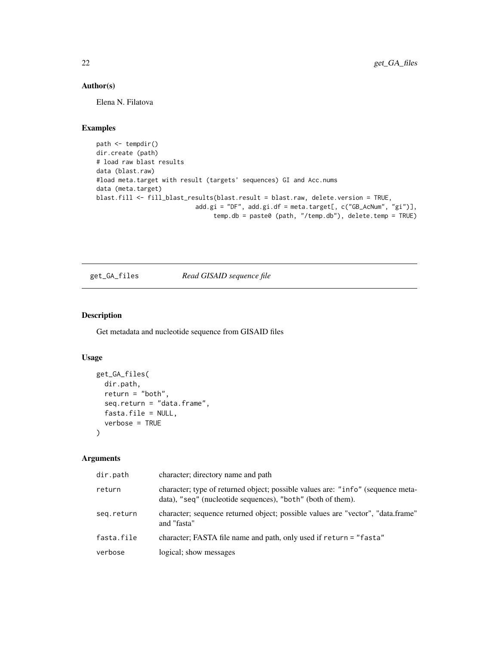# Author(s)

Elena N. Filatova

# Examples

```
path <- tempdir()
dir.create (path)
# load raw blast results
data (blast.raw)
#load meta.target with result (targets' sequences) GI and Acc.nums
data (meta.target)
blast.fill <- fill_blast_results(blast.result = blast.raw, delete.version = TRUE,
                           add.gi = "DF", add.gi.df = meta.target[, c("GB_AcNum", "gi")],
                                temp.db = paste0 (path, "/temp.db"), delete.temp = TRUE)
```
# get\_GA\_files *Read GISAID sequence file*

# Description

Get metadata and nucleotide sequence from GISAID files

#### Usage

```
get_GA_files(
 dir.path,
  return = "both",
  seq.return = "data.frame",
  fasta.file = NULL,
  verbose = TRUE
)
```
# Arguments

| dir.path   | character; directory name and path                                                                                                             |
|------------|------------------------------------------------------------------------------------------------------------------------------------------------|
| return     | character; type of returned object; possible values are: "info" (sequence meta-<br>data), "seq" (nucleotide sequences), "both" (both of them). |
| seq.return | character; sequence returned object; possible values are "vector", "data.frame"<br>and "fasta"                                                 |
| fasta.file | character; FASTA file name and path, only used if return = "fasta"                                                                             |
| verbose    | logical; show messages                                                                                                                         |

<span id="page-21-0"></span>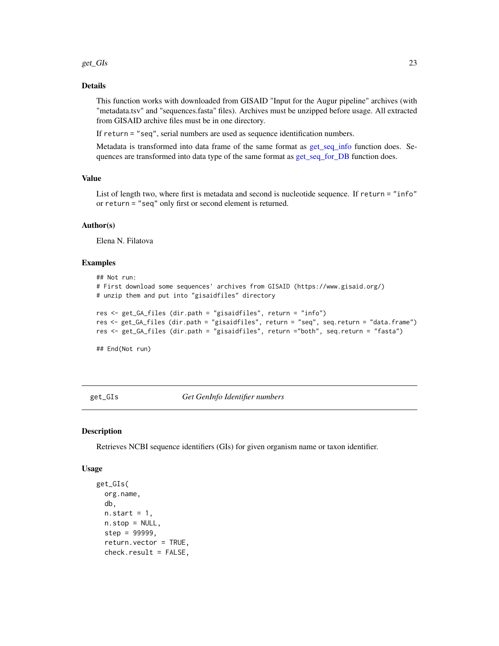#### <span id="page-22-0"></span>get\_GIs 23

# Details

This function works with downloaded from GISAID "Input for the Augur pipeline" archives (with "metadata.tsv" and "sequences.fasta" files). Archives must be unzipped before usage. All extracted from GISAID archive files must be in one directory.

If return = "seq", serial numbers are used as sequence identification numbers.

Metadata is transformed into data frame of the same format as [get\\_seq\\_info](#page-26-1) function does. Sequences are transformed into data type of the same format as [get\\_seq\\_for\\_DB](#page-25-1) function does.

# Value

List of length two, where first is metadata and second is nucleotide sequence. If return = "info" or return = "seq" only first or second element is returned.

#### Author(s)

Elena N. Filatova

#### Examples

```
## Not run:
# First download some sequences' archives from GISAID (https://www.gisaid.org/)
# unzip them and put into "gisaidfiles" directory
res <- get_GA_files (dir.path = "gisaidfiles", return = "info")
res <- get_GA_files (dir.path = "gisaidfiles", return = "seq", seq.return = "data.frame")
res <- get_GA_files (dir.path = "gisaidfiles", return ="both", seq.return = "fasta")
```
## End(Not run)

get\_GIs *Get GenInfo Identifier numbers*

#### Description

Retrieves NCBI sequence identifiers (GIs) for given organism name or taxon identifier.

#### Usage

```
get_GIs(
  org.name,
  db,
 n.start = 1,
 n.stop = NULL,
  step = 99999,
  return.vector = TRUE,
  check.result = FALSE,
```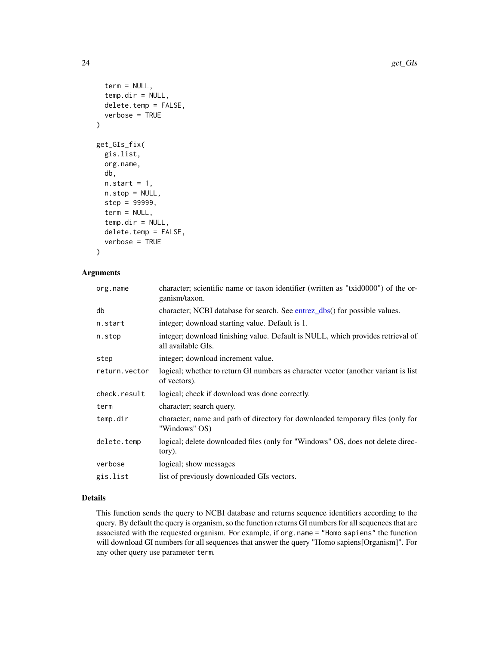```
term = NULL,
  temp.dim = NULL,delete.temp = FALSE,
  verbose = TRUE
)
get_GIs_fix(
  gis.list,
 org.name,
  db,
  n.start = 1,
  n.stop = NULL,step = 99999,
  term = NULL,
  temp.dir = NULL,
  delete.temp = FALSE,
  verbose = TRUE
```

```
)
```
# Arguments

| org.name      | character; scientific name or taxon identifier (written as "txid0000") of the or-<br>ganism/taxon.    |
|---------------|-------------------------------------------------------------------------------------------------------|
| db            | character; NCBI database for search. See entrez_dbs() for possible values.                            |
| n.start       | integer; download starting value. Default is 1.                                                       |
| n.stop        | integer; download finishing value. Default is NULL, which provides retrieval of<br>all available GIs. |
| step          | integer; download increment value.                                                                    |
| return.vector | logical; whether to return GI numbers as character vector (another variant is list<br>of vectors).    |
| check.result  | logical; check if download was done correctly.                                                        |
| term          | character; search query.                                                                              |
| temp.dir      | character; name and path of directory for downloaded temporary files (only for<br>"Windows" OS)       |
| delete.temp   | logical; delete downloaded files (only for "Windows" OS, does not delete direc-<br>tory).             |
| verbose       | logical; show messages                                                                                |
| gis.list      | list of previously downloaded GIs vectors.                                                            |
|               |                                                                                                       |

# Details

This function sends the query to NCBI database and returns sequence identifiers according to the query. By default the query is organism, so the function returns GI numbers for all sequences that are associated with the requested organism. For example, if org.name = "Homo sapiens" the function will download GI numbers for all sequences that answer the query "Homo sapiens[Organism]". For any other query use parameter term.

<span id="page-23-0"></span>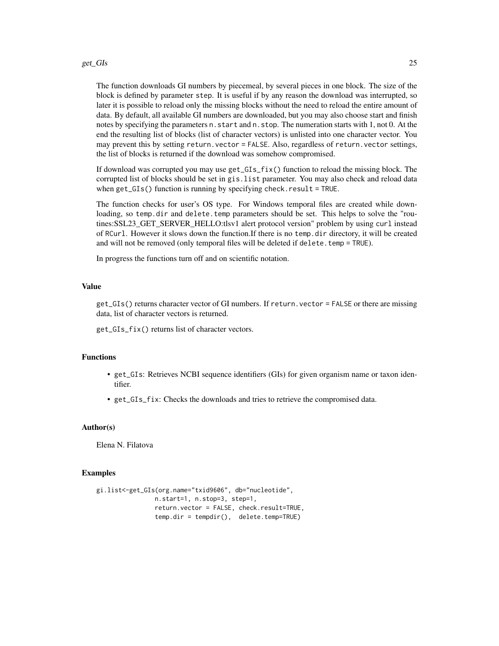#### get\_GIs 25

The function downloads GI numbers by piecemeal, by several pieces in one block. The size of the block is defined by parameter step. It is useful if by any reason the download was interrupted, so later it is possible to reload only the missing blocks without the need to reload the entire amount of data. By default, all available GI numbers are downloaded, but you may also choose start and finish notes by specifying the parameters n.start and n.stop. The numeration starts with 1, not 0. At the end the resulting list of blocks (list of character vectors) is unlisted into one character vector. You may prevent this by setting return.vector = FALSE. Also, regardless of return.vector settings, the list of blocks is returned if the download was somehow compromised.

If download was corrupted you may use get\_GIs\_fix() function to reload the missing block. The corrupted list of blocks should be set in gis.list parameter. You may also check and reload data when get\_GIs() function is running by specifying check.result = TRUE.

The function checks for user's OS type. For Windows temporal files are created while downloading, so temp.dir and delete.temp parameters should be set. This helps to solve the "routines:SSL23\_GET\_SERVER\_HELLO:tlsv1 alert protocol version" problem by using curl instead of RCurl. However it slows down the function.If there is no temp.dir directory, it will be created and will not be removed (only temporal files will be deleted if delete.temp = TRUE).

In progress the functions turn off and on scientific notation.

# Value

get\_GIs() returns character vector of GI numbers. If return.vector = FALSE or there are missing data, list of character vectors is returned.

get\_GIs\_fix() returns list of character vectors.

#### Functions

- get\_GIs: Retrieves NCBI sequence identifiers (GIs) for given organism name or taxon identifier.
- get\_GIs\_fix: Checks the downloads and tries to retrieve the compromised data.

#### Author(s)

Elena N. Filatova

#### Examples

```
gi.list<-get_GIs(org.name="txid9606", db="nucleotide",
               n.start=1, n.stop=3, step=1,
                return.vector = FALSE, check.result=TRUE,
                temp.dir = tempdir(), delete.temp=TRUE)
```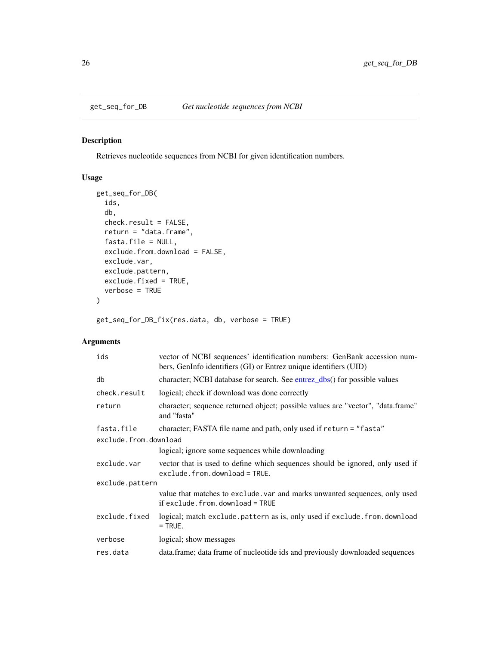<span id="page-25-1"></span><span id="page-25-0"></span>

Retrieves nucleotide sequences from NCBI for given identification numbers.

# Usage

```
get_seq_for_DB(
  ids,
  db,
 check.result = FALSE,
  return = "data.frame",
 fasta.file = NULL,
 exclude.from.download = FALSE,
 exclude.var,
 exclude.pattern,
 exclude.fixed = TRUE,
 verbose = TRUE
\mathcal{E}
```
get\_seq\_for\_DB\_fix(res.data, db, verbose = TRUE)

# Arguments

| ids                   | vector of NCBI sequences' identification numbers: GenBank accession num-<br>bers, GenInfo identifiers (GI) or Entrez unique identifiers (UID) |  |
|-----------------------|-----------------------------------------------------------------------------------------------------------------------------------------------|--|
| db                    | character; NCBI database for search. See entrez_dbs() for possible values                                                                     |  |
| check.result          | logical; check if download was done correctly                                                                                                 |  |
| return                | character; sequence returned object; possible values are "vector", "data.frame"<br>and "fasta"                                                |  |
| fasta.file            | character; FASTA file name and path, only used if return = "fasta"                                                                            |  |
| exclude.from.download |                                                                                                                                               |  |
|                       | logical; ignore some sequences while downloading                                                                                              |  |
| exclude.var           | vector that is used to define which sequences should be ignored, only used if<br>$exclude. from. download = TRUE.$                            |  |
| exclude.pattern       |                                                                                                                                               |  |
|                       | value that matches to exclude var and marks unwanted sequences, only used<br>$if exclude. from download = TRUE$                               |  |
| exclude.fixed         | logical; match exclude pattern as is, only used if exclude from download<br>$=$ TRUE.                                                         |  |
| verbose               | logical; show messages                                                                                                                        |  |
| res.data              | data.frame; data frame of nucleotide ids and previously downloaded sequences                                                                  |  |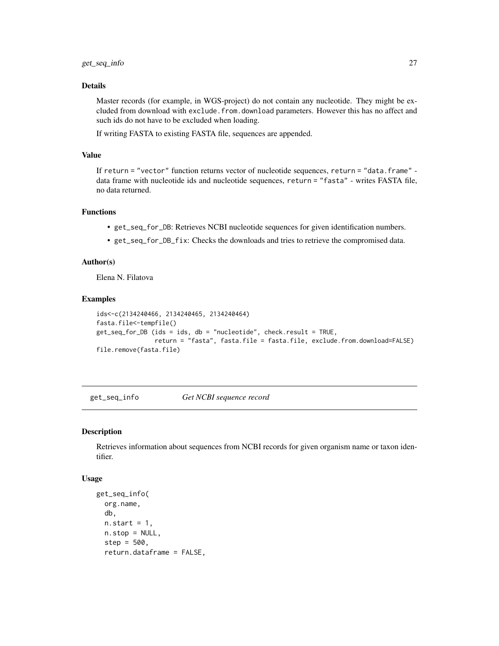# <span id="page-26-0"></span>Details

Master records (for example, in WGS-project) do not contain any nucleotide. They might be excluded from download with exclude.from.download parameters. However this has no affect and such ids do not have to be excluded when loading.

If writing FASTA to existing FASTA file, sequences are appended.

#### Value

If return = "vector" function returns vector of nucleotide sequences, return = "data.frame" data frame with nucleotide ids and nucleotide sequences, return = "fasta" - writes FASTA file, no data returned.

# Functions

- get\_seq\_for\_DB: Retrieves NCBI nucleotide sequences for given identification numbers.
- get\_seq\_for\_DB\_fix: Checks the downloads and tries to retrieve the compromised data.

#### Author(s)

Elena N. Filatova

#### Examples

```
ids<-c(2134240466, 2134240465, 2134240464)
fasta.file<-tempfile()
get_seq_for_DB (ids = ids, db = "nucleotide", check.result = TRUE,
                return = "fasta", fasta.file = fasta.file, exclude.from.download=FALSE)
file.remove(fasta.file)
```
<span id="page-26-1"></span>get\_seq\_info *Get NCBI sequence record*

#### Description

Retrieves information about sequences from NCBI records for given organism name or taxon identifier.

#### Usage

```
get_seq_info(
  org.name,
  db,
 n.start = 1,
  n.stop = NULL,step = 500,
  return.dataframe = FALSE,
```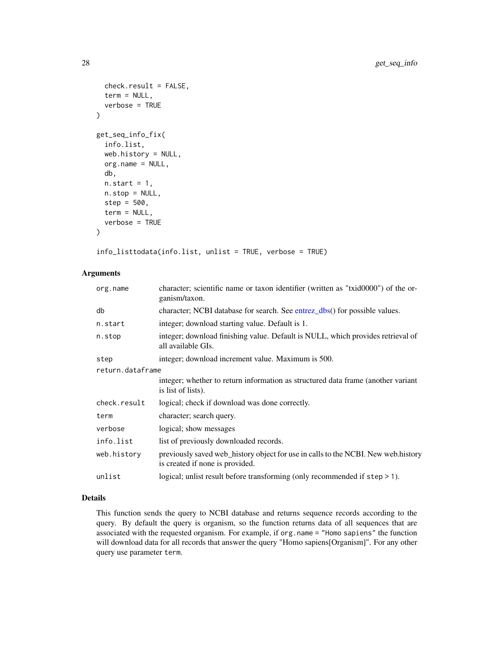```
check.result = FALSE,
  term = NULL,
  verbose = TRUE
\lambdaget_seq_info_fix(
  info.list,
 web.history = NULL,
 org.name = NULL,
  db,
  n.start = 1,
  n.stop = NULL,step = 500,
  term = NULL,
  verbose = TRUE
)
```
info\_listtodata(info.list, unlist = TRUE, verbose = TRUE)

# Arguments

| org.name         | character; scientific name or taxon identifier (written as "txid0000") of the or-<br>ganism/taxon.                   |  |
|------------------|----------------------------------------------------------------------------------------------------------------------|--|
| db               | character; NCBI database for search. See entrez_dbs() for possible values.                                           |  |
| n.start          | integer; download starting value. Default is 1.                                                                      |  |
| n.stop           | integer; download finishing value. Default is NULL, which provides retrieval of<br>all available GIs.                |  |
| step             | integer; download increment value. Maximum is 500.                                                                   |  |
| return.dataframe |                                                                                                                      |  |
|                  | integer; whether to return information as structured data frame (another variant<br>is list of lists).               |  |
| check.result     | logical; check if download was done correctly.                                                                       |  |
| term             | character; search query.                                                                                             |  |
| verbose          | logical; show messages                                                                                               |  |
| info.list        | list of previously downloaded records.                                                                               |  |
| web.history      | previously saved web_history object for use in calls to the NCBI. New web.history<br>is created if none is provided. |  |
| unlist           | logical; unlist result before transforming (only recommended if $step \ge 1$ ).                                      |  |

# Details

This function sends the query to NCBI database and returns sequence records according to the query. By default the query is organism, so the function returns data of all sequences that are associated with the requested organism. For example, if org.name = "Homo sapiens" the function will download data for all records that answer the query "Homo sapiens[Organism]". For any other query use parameter term.

<span id="page-27-0"></span>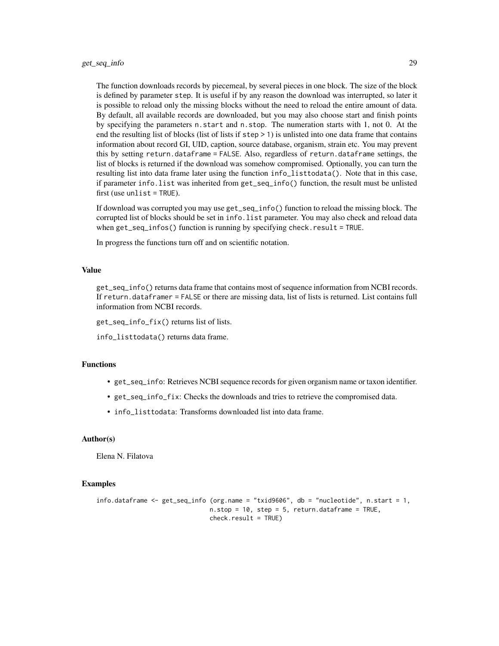The function downloads records by piecemeal, by several pieces in one block. The size of the block is defined by parameter step. It is useful if by any reason the download was interrupted, so later it is possible to reload only the missing blocks without the need to reload the entire amount of data. By default, all available records are downloaded, but you may also choose start and finish points by specifying the parameters n.start and n.stop. The numeration starts with 1, not 0. At the end the resulting list of blocks (list of lists if step > 1) is unlisted into one data frame that contains information about record GI, UID, caption, source database, organism, strain etc. You may prevent this by setting return.dataframe = FALSE. Also, regardless of return.dataframe settings, the list of blocks is returned if the download was somehow compromised. Optionally, you can turn the resulting list into data frame later using the function info\_listtodata(). Note that in this case, if parameter info.list was inherited from get\_seq\_info() function, the result must be unlisted first (use unlist = TRUE).

If download was corrupted you may use get\_seq\_info() function to reload the missing block. The corrupted list of blocks should be set in info.list parameter. You may also check and reload data when get\_seq\_infos() function is running by specifying check.result = TRUE.

In progress the functions turn off and on scientific notation.

# Value

get\_seq\_info() returns data frame that contains most of sequence information from NCBI records. If return.dataframer = FALSE or there are missing data, list of lists is returned. List contains full information from NCBI records.

get\_seq\_info\_fix() returns list of lists.

info\_listtodata() returns data frame.

# Functions

- get\_seq\_info: Retrieves NCBI sequence records for given organism name or taxon identifier.
- get\_seq\_info\_fix: Checks the downloads and tries to retrieve the compromised data.
- info\_listtodata: Transforms downloaded list into data frame.

#### Author(s)

Elena N. Filatova

#### Examples

```
info.dataframe <- get_seq_info (org.name = "txid9606", db = "nucleotide", n.start = 1,
                               n. stop = 10, step = 5, return. data frame = TRUE,
                               check.result = TRUE)
```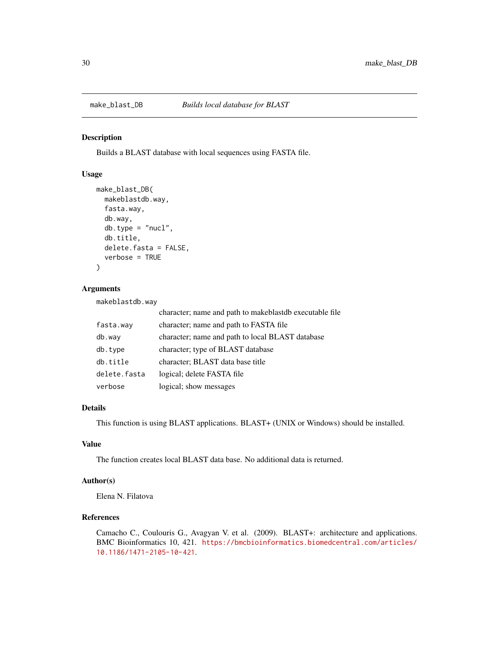<span id="page-29-0"></span>

Builds a BLAST database with local sequences using FASTA file.

# Usage

```
make_blast_DB(
 makeblastdb.way,
  fasta.way,
  db.way,
  db.type = "nucl",db.title,
  delete.fasta = FALSE,
  verbose = TRUE
)
```
#### Arguments

makeblastdb.way

|              | character; name and path to makeblastdb executable file |
|--------------|---------------------------------------------------------|
| fasta.way    | character; name and path to FASTA file                  |
| db.way       | character; name and path to local BLAST database        |
| db.type      | character; type of BLAST database                       |
| db.title     | character; BLAST data base title                        |
| delete.fasta | logical; delete FASTA file                              |
| verbose      | logical; show messages                                  |

# Details

This function is using BLAST applications. BLAST+ (UNIX or Windows) should be installed.

# Value

The function creates local BLAST data base. No additional data is returned.

# Author(s)

Elena N. Filatova

# References

Camacho C., Coulouris G., Avagyan V. et al. (2009). BLAST+: architecture and applications. BMC Bioinformatics 10, 421. [https://bmcbioinformatics.biomedcentral.com/articles/](https://bmcbioinformatics.biomedcentral.com/articles/10.1186/1471-2105-10-421) [10.1186/1471-2105-10-421](https://bmcbioinformatics.biomedcentral.com/articles/10.1186/1471-2105-10-421).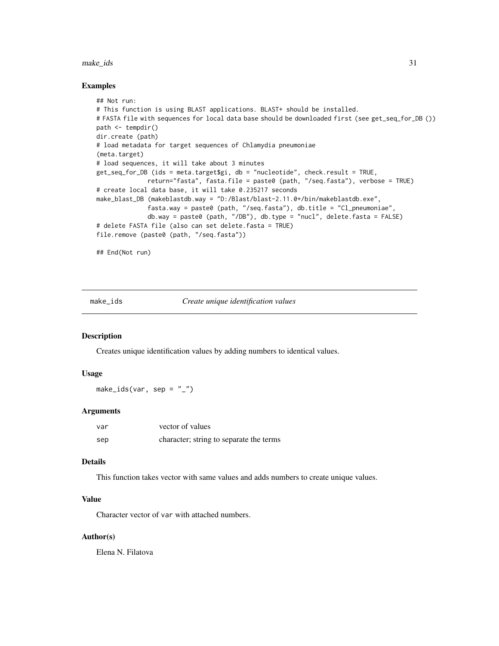#### <span id="page-30-0"></span>make\_ids 31

#### Examples

```
## Not run:
# This function is using BLAST applications. BLAST+ should be installed.
# FASTA file with sequences for local data base should be downloaded first (see get_seq_for_DB ())
path <- tempdir()
dir.create (path)
# load metadata for target sequences of Chlamydia pneumoniae
(meta.target)
# load sequences, it will take about 3 minutes
get_seq_for_DB (ids = meta.target$gi, db = "nucleotide", check.result = TRUE,
              return="fasta", fasta.file = paste0 (path, "/seq.fasta"), verbose = TRUE)
# create local data base, it will take 0.235217 seconds
make_blast_DB (makeblastdb.way = "D:/Blast/blast-2.11.0+/bin/makeblastdb.exe",
              fasta.way = paste0 (path, "/seq.fasta"), db.title = "Cl_pneumoniae",
              db.way = paste0 (path, "/DB"), db.type = "nucl", delete.fasta = FALSE)
# delete FASTA file (also can set delete.fasta = TRUE)
file.remove (paste0 (path, "/seq.fasta"))
```
## End(Not run)

<span id="page-30-1"></span>make\_ids *Create unique identification values*

# Description

Creates unique identification values by adding numbers to identical values.

#### Usage

 $make\_ids(var, sep = "__")$ 

#### Arguments

| var | vector of values                        |
|-----|-----------------------------------------|
| sep | character; string to separate the terms |

# Details

This function takes vector with same values and adds numbers to create unique values.

#### Value

Character vector of var with attached numbers.

#### Author(s)

Elena N. Filatova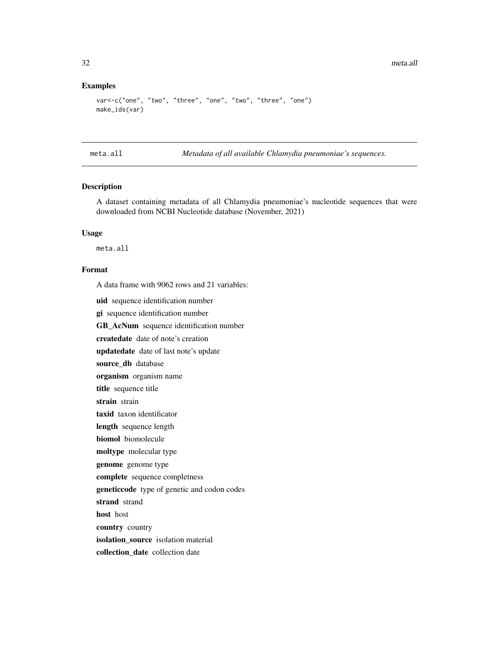# <span id="page-31-0"></span>Examples

```
var<-c("one", "two", "three", "one", "two", "three", "one")
make_ids(var)
```
meta.all *Metadata of all available Chlamydia pneumoniae's sequences.*

# Description

A dataset containing metadata of all Chlamydia pneumoniae's nucleotide sequences that were downloaded from NCBI Nucleotide database (November, 2021)

# Usage

meta.all

# Format

A data frame with 9062 rows and 21 variables:

uid sequence identification number

gi sequence identification number

GB\_AcNum sequence identification number

createdate date of note's creation

updatedate date of last note's update

source\_db database

organism organism name

title sequence title

strain strain

taxid taxon identificator

length sequence length

biomol biomolecule

moltype molecular type

genome genome type

complete sequence completness

geneticcode type of genetic and codon codes

strand strand

host host

country country

isolation\_source isolation material

collection\_date collection date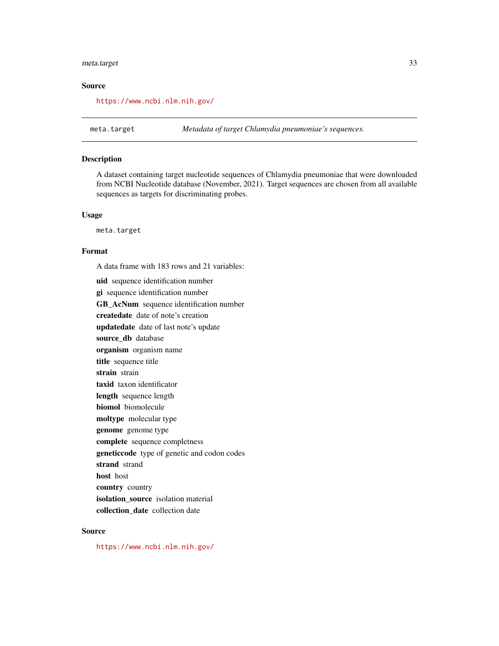# <span id="page-32-0"></span>meta.target 33

# Source

<https://www.ncbi.nlm.nih.gov/>

meta.target *Metadata of target Chlamydia pneumoniae's sequences.*

#### Description

A dataset containing target nucleotide sequences of Chlamydia pneumoniae that were downloaded from NCBI Nucleotide database (November, 2021). Target sequences are chosen from all available sequences as targets for discriminating probes.

# Usage

meta.target

# Format

A data frame with 183 rows and 21 variables:

uid sequence identification number gi sequence identification number GB AcNum sequence identification number createdate date of note's creation updatedate date of last note's update source\_db database organism organism name title sequence title strain strain taxid taxon identificator length sequence length biomol biomolecule moltype molecular type genome genome type complete sequence completness geneticcode type of genetic and codon codes strand strand host host country country isolation source isolation material collection\_date collection date

#### Source

<https://www.ncbi.nlm.nih.gov/>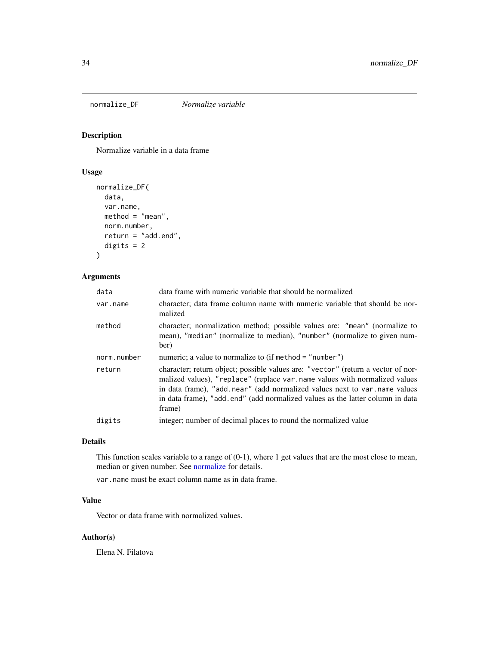<span id="page-33-0"></span>

Normalize variable in a data frame

# Usage

```
normalize_DF(
 data,
 var.name,
 method = "mean",norm.number,
  return = "add.end",
 digits = 2
)
```
# Arguments

| data        | data frame with numeric variable that should be normalized                                                                                                                                                                                                                                                                             |
|-------------|----------------------------------------------------------------------------------------------------------------------------------------------------------------------------------------------------------------------------------------------------------------------------------------------------------------------------------------|
| var.name    | character; data frame column name with numeric variable that should be nor-<br>malized                                                                                                                                                                                                                                                 |
| method      | character; normalization method; possible values are: "mean" (normalize to<br>mean), "median" (normalize to median), "number" (normalize to given num-<br>ber)                                                                                                                                                                         |
| norm.number | numeric; a value to normalize to (if method = $"number"$ )                                                                                                                                                                                                                                                                             |
| return      | character; return object; possible values are: "vector" (return a vector of nor-<br>malized values), "replace" (replace var.name values with normalized values<br>in data frame), "add near" (add normalized values next to var name values<br>in data frame), "add end" (add normalized values as the latter column in data<br>frame) |
| digits      | integer; number of decimal places to round the normalized value                                                                                                                                                                                                                                                                        |
|             |                                                                                                                                                                                                                                                                                                                                        |

#### Details

This function scales variable to a range of (0-1), where 1 get values that are the most close to mean, median or given number. See [normalize](#page-0-0) for details.

var.name must be exact column name as in data frame.

# Value

Vector or data frame with normalized values.

# Author(s)

Elena N. Filatova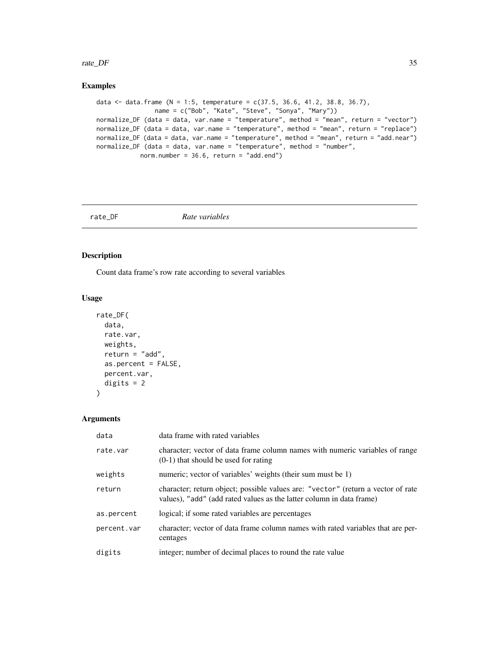#### <span id="page-34-0"></span>rate\_DF 35

# Examples

```
data <- data.frame (N = 1:5, temperature = c(37.5, 36.6, 41.2, 38.8, 36.7),
               name = c("Bob", "Kate", "Steve", "Sonya", "Mary"))
normalize_DF (data = data, var.name = "temperature", method = "mean", return = "vector")
normalize_DF (data = data, var.name = "temperature", method = "mean", return = "replace")
normalize_DF (data = data, var.name = "temperature", method = "mean", return = "add.near")
normalize_DF (data = data, var.name = "temperature", method = "number",
           norm.number = 36.6, return = "add.end")
```
rate\_DF *Rate variables*

# Description

Count data frame's row rate according to several variables

## Usage

```
rate_DF(
 data,
 rate.var,
 weights,
  return = "add",
  as.percent = FALSE,
 percent.var,
 digits = 2)
```
# Arguments

| data        | data frame with rated variables                                                                                                                          |
|-------------|----------------------------------------------------------------------------------------------------------------------------------------------------------|
| rate.var    | character; vector of data frame column names with numeric variables of range<br>$(0-1)$ that should be used for rating                                   |
| weights     | numeric; vector of variables' weights (their sum must be 1)                                                                                              |
| return      | character; return object; possible values are: "vector" (return a vector of rate<br>values), "add" (add rated values as the latter column in data frame) |
| as.percent  | logical; if some rated variables are percentages                                                                                                         |
| percent.var | character; vector of data frame column names with rated variables that are per-<br>centages                                                              |
| digits      | integer; number of decimal places to round the rate value                                                                                                |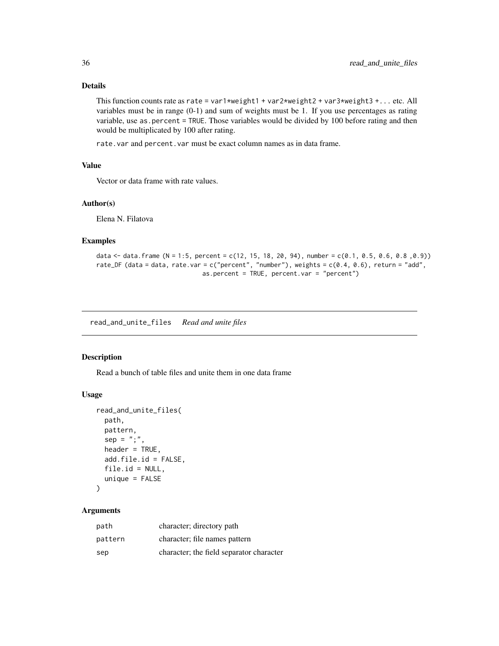# <span id="page-35-0"></span>Details

This function counts rate as rate = var1\*weight1 + var2\*weight2 + var3\*weight3 +... etc. All variables must be in range (0-1) and sum of weights must be 1. If you use percentages as rating variable, use as.percent = TRUE. Those variables would be divided by 100 before rating and then would be multiplicated by 100 after rating.

rate.var and percent.var must be exact column names as in data frame.

# Value

Vector or data frame with rate values.

# Author(s)

Elena N. Filatova

#### Examples

```
data \le data.frame (N = 1:5, percent = c(12, 15, 18, 20, 94), number = c(0.1, 0.5, 0.6, 0.8, 0.9))
rate_DF (data = data, rate.var = c("percent", "number"), weights = c(0.4, 0.6), return = "add",
                              as.percent = TRUE, percent.var = "percent")
```
read\_and\_unite\_files *Read and unite files*

#### Description

Read a bunch of table files and unite them in one data frame

## Usage

```
read_and_unite_files(
 path,
 pattern,
 sep = ";"header = TRUE,
 add.file.id = FALSE,
 file.id = NULL,unique = FALSE)
```
# Arguments

| path    | character; directory path                |
|---------|------------------------------------------|
| pattern | character; file names pattern            |
| sep     | character; the field separator character |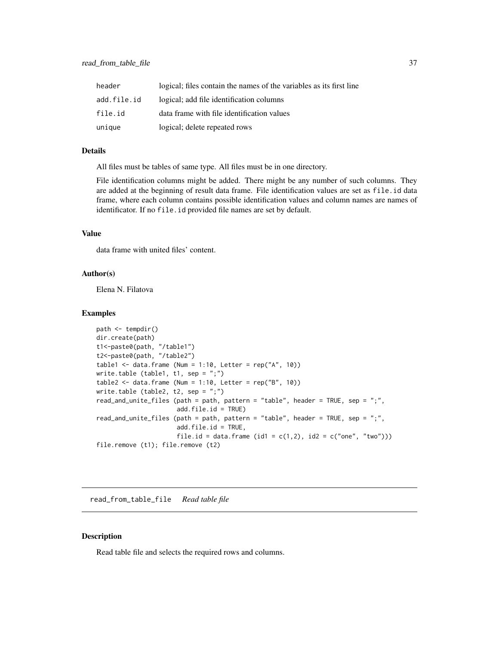<span id="page-36-0"></span>

| header      | logical; files contain the names of the variables as its first line |
|-------------|---------------------------------------------------------------------|
| add.file.id | logical; add file identification columns                            |
| file.id     | data frame with file identification values                          |
| unique      | logical; delete repeated rows                                       |

#### Details

All files must be tables of same type. All files must be in one directory.

File identification columns might be added. There might be any number of such columns. They are added at the beginning of result data frame. File identification values are set as file.id data frame, where each column contains possible identification values and column names are names of identificator. If no file.id provided file names are set by default.

# Value

data frame with united files' content.

# Author(s)

Elena N. Filatova

#### Examples

```
path <- tempdir()
dir.create(path)
t1<-paste0(path, "/table1")
t2<-paste0(path, "/table2")
table1 <- data.frame (Num = 1:10, Letter = rep("A", 10))
write.table (table1, t1, sep = ";")table2 <- data.frame (Num = 1:10, Letter = rep("B", 10))
write.table (table2, t2, sep = ";")read_and_unite_files (path = path, pattern = "table", header = TRUE, sep = ";",
                      add.file.id = TRUE)
read_and_unite_files (path = path, pattern = "table", header = TRUE, sep = ";",
                      add.file.id = TRUE,
                      file.id = data.frame (id1 = c(1,2), id2 = c("one", "two")))
file.remove (t1); file.remove (t2)
```
read\_from\_table\_file *Read table file*

# Description

Read table file and selects the required rows and columns.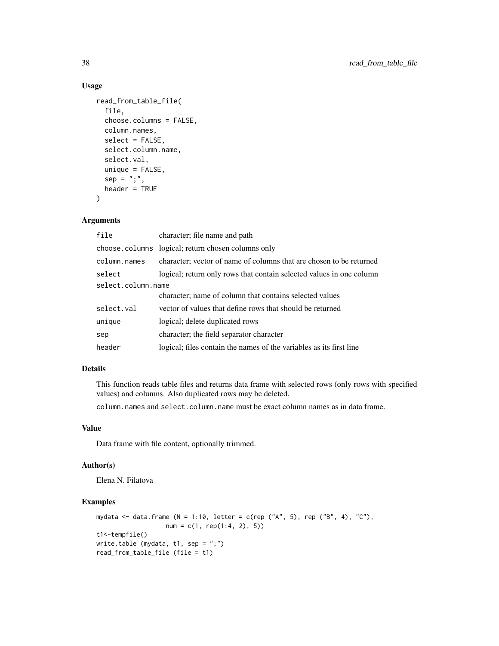# Usage

```
read_from_table_file(
 file,
 choose.columns = FALSE,
 column.names,
 select = FALSE,
 select.column.name,
 select.val,
 unique = FALSE,sep = ";",header = TRUE)
```
# Arguments

| file               | character; file name and path                                        |  |
|--------------------|----------------------------------------------------------------------|--|
|                    | choose.columns logical; return chosen columns only                   |  |
| column.names       | character; vector of name of columns that are chosen to be returned  |  |
| select             | logical; return only rows that contain selected values in one column |  |
| select.column.name |                                                                      |  |
|                    | character; name of column that contains selected values              |  |
| select.val         | vector of values that define rows that should be returned            |  |
| unique             | logical; delete duplicated rows                                      |  |
| sep                | character; the field separator character                             |  |
| header             | logical; files contain the names of the variables as its first line  |  |

# Details

This function reads table files and returns data frame with selected rows (only rows with specified values) and columns. Also duplicated rows may be deleted.

column.names and select.column.name must be exact column names as in data frame.

#### Value

Data frame with file content, optionally trimmed.

# Author(s)

Elena N. Filatova

# Examples

```
mydata <- data.frame (N = 1:10, letter = c(rep ("A", 5), rep ("B", 4), "C"),
                  num = c(1, rep(1:4, 2), 5)t1<-tempfile()
write.table (mydata, t1, sep = ";")
read_from_table_file (file = t1)
```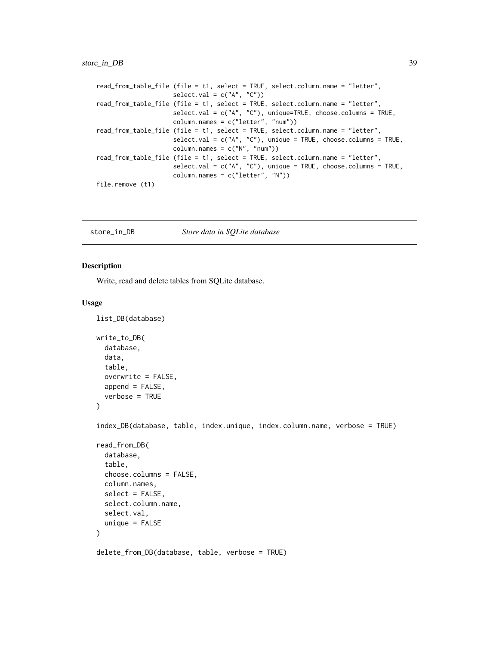# <span id="page-38-0"></span>store\_in\_DB 39

```
read_from_table_file (file = t1, select = TRUE, select.column.name = "letter",
                    select.val = c("A", "C")read_from_table_file (file = t1, select = TRUE, select.column.name = "letter",
                    select.val = c("A", "C"), unique=TRUE, choose.columns = TRUE,
                    column.names = c("letter", "num"))
read_from_table_file (file = t1, select = TRUE, select.column.name = "letter",
                    select.val = c("A", "C"), unique = TRUE, choose.columes = TRUE,column.name = c("N", "num")read_from_table_file (file = t1, select = TRUE, select.column.name = "letter",
                    select.val = c("A", "C"), unique = TRUE, choose.columns = TRUE,
                    column.names = c("letter", "N"))
file.remove (t1)
```
# Description

list\_DB(database)

Write, read and delete tables from SQLite database.

#### Usage

```
write_to_DB(
 database,
 data,
 table,
 overwrite = FALSE,
 append = FALSE,verbose = TRUE
)
index_DB(database, table, index.unique, index.column.name, verbose = TRUE)
read_from_DB(
 database,
  table,
  choose.columns = FALSE,
  column.names,
  select = FALSE,
  select.column.name,
  select.val,
 unique = FALSE)
delete_from_DB(database, table, verbose = TRUE)
```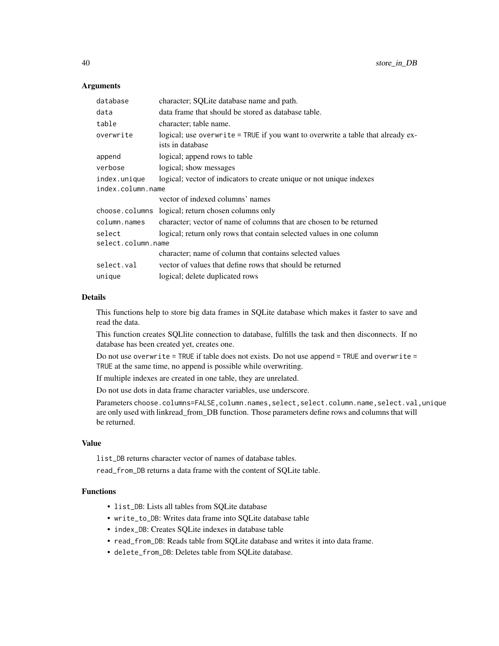#### **Arguments**

| database           | character; SQLite database name and path.                                                           |
|--------------------|-----------------------------------------------------------------------------------------------------|
| data               | data frame that should be stored as database table.                                                 |
| table              | character; table name.                                                                              |
| overwrite          | logical; use overwrite = TRUE if you want to overwrite a table that already ex-<br>ists in database |
| append             | logical; append rows to table                                                                       |
| verbose            | logical; show messages                                                                              |
| index.unique       | logical; vector of indicators to create unique or not unique indexes                                |
| index.column.name  |                                                                                                     |
|                    | vector of indexed columns' names                                                                    |
|                    | choose.columns logical; return chosen columns only                                                  |
| column.names       | character; vector of name of columns that are chosen to be returned                                 |
| select             | logical; return only rows that contain selected values in one column                                |
| select.column.name |                                                                                                     |
|                    | character; name of column that contains selected values                                             |
| select.val         | vector of values that define rows that should be returned                                           |
| unique             | logical; delete duplicated rows                                                                     |

#### Details

This functions help to store big data frames in SQLite database which makes it faster to save and read the data.

This function creates SQLlite connection to database, fulfills the task and then disconnects. If no database has been created yet, creates one.

Do not use overwrite = TRUE if table does not exists. Do not use append = TRUE and overwrite = TRUE at the same time, no append is possible while overwriting.

If multiple indexes are created in one table, they are unrelated.

Do not use dots in data frame character variables, use underscore.

Parameters choose.columns=FALSE,column.names,select,select.column.name,select.val,unique are only used with linkread\_from\_DB function. Those parameters define rows and columns that will be returned.

#### Value

list\_DB returns character vector of names of database tables.

read\_from\_DB returns a data frame with the content of SQLite table.

# Functions

- list\_DB: Lists all tables from SQLite database
- write\_to\_DB: Writes data frame into SQLite database table
- index\_DB: Creates SQLite indexes in database table
- read\_from\_DB: Reads table from SQLite database and writes it into data frame.
- delete\_from\_DB: Deletes table from SQLite database.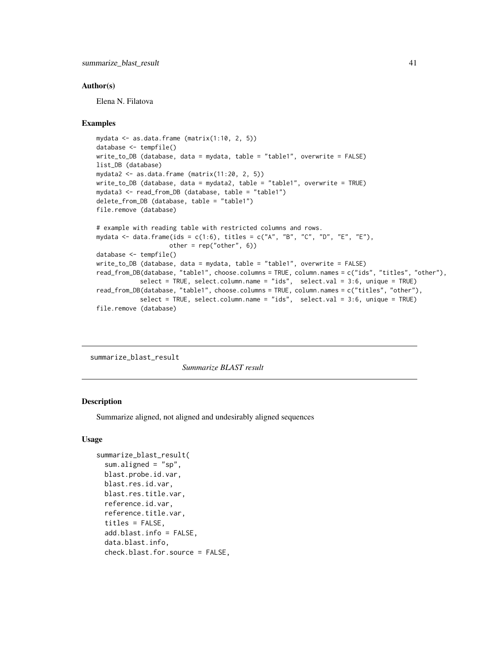#### <span id="page-40-0"></span>Author(s)

Elena N. Filatova

#### Examples

```
mydata <- as.data.frame (matrix(1:10, 2, 5))
database <- tempfile()
write_to_DB (database, data = mydata, table = "table1", overwrite = FALSE)
list_DB (database)
mydata2 \leq -as.data.frame (matrix(11:20, 2, 5))
write_to_DB (database, data = mydata2, table = "table1", overwrite = TRUE)
mydata3 <- read_from_DB (database, table = "table1")
delete_from_DB (database, table = "table1")
file.remove (database)
# example with reading table with restricted columns and rows.
mydata <- data.frame(ids = c(1:6), titles = c("A", "B", "C", "D", "E", "E"),
                    other = rep("other", 6))
database <- tempfile()
write_to_DB (database, data = mydata, table = "table1", overwrite = FALSE)
read_from_DB(database, "table1", choose.columns = TRUE, column.names = c("ids", "titles", "other"),
            select = TRUE, select.column.name = "ids", select.val = 3:6, unique = TRUE)
read_from_DB(database, "table1", choose.columns = TRUE, column.names = c("titles", "other"),
            select = TRUE, select.column.name = "ids", select.val = 3:6, unique = TRUE)
file.remove (database)
```
summarize\_blast\_result

*Summarize BLAST result*

#### **Description**

Summarize aligned, not aligned and undesirably aligned sequences

#### Usage

```
summarize_blast_result(
  sum.aligned = "sp",
 blast.probe.id.var,
  blast.res.id.var,
 blast.res.title.var,
  reference.id.var,
  reference.title.var,
  titles = FALSE,
  add.blast.info = FALSE,
  data.blast.info,
  check.blast.for.source = FALSE,
```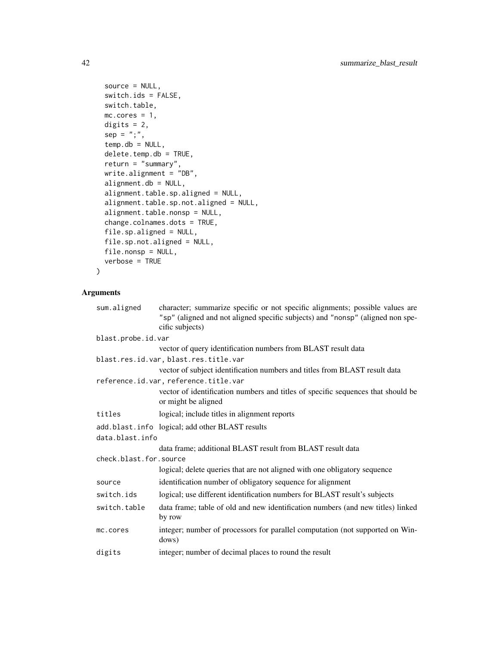```
source = NULL,
switch.ids = FALSE,
switch.table,
mc.cores = 1,
digits = 2,
sep = ";",temp. db = NULL,delete.temp.db = TRUE,
return = "summary",
write.alignment = "DB",
alignment.db = NULL,
alignment.table.sp.aligned = NULL,
alignment.table.sp.not.aligned = NULL,
alignment.table.nonsp = NULL,
change.colnames.dots = TRUE,
file.sp.aligned = NULL,
file.sp.not.aligned = NULL,
file.nonsp = NULL,
verbose = TRUE
```
# Arguments

 $\lambda$ 

| sum.aligned            | character; summarize specific or not specific alignments; possible values are<br>"sp" (aligned and not aligned specific subjects) and "nonsp" (aligned non spe-<br>cific subjects) |
|------------------------|------------------------------------------------------------------------------------------------------------------------------------------------------------------------------------|
| blast.probe.id.var     |                                                                                                                                                                                    |
|                        | vector of query identification numbers from BLAST result data                                                                                                                      |
|                        | blast.res.id.var, blast.res.title.var                                                                                                                                              |
|                        | vector of subject identification numbers and titles from BLAST result data                                                                                                         |
|                        | reference.id.var, reference.title.var                                                                                                                                              |
|                        | vector of identification numbers and titles of specific sequences that should be<br>or might be aligned                                                                            |
| titles                 | logical; include titles in alignment reports                                                                                                                                       |
|                        | add.blast.info logical; add other BLAST results                                                                                                                                    |
| data.blast.info        |                                                                                                                                                                                    |
|                        | data frame; additional BLAST result from BLAST result data                                                                                                                         |
| check.blast.for.source |                                                                                                                                                                                    |
|                        | logical; delete queries that are not aligned with one obligatory sequence                                                                                                          |
| source                 | identification number of obligatory sequence for alignment                                                                                                                         |
| switch.ids             | logical; use different identification numbers for BLAST result's subjects                                                                                                          |
| switch.table           | data frame; table of old and new identification numbers (and new titles) linked<br>by row                                                                                          |
| mc.cores               | integer; number of processors for parallel computation (not supported on Win-<br>dows)                                                                                             |
| digits                 | integer; number of decimal places to round the result                                                                                                                              |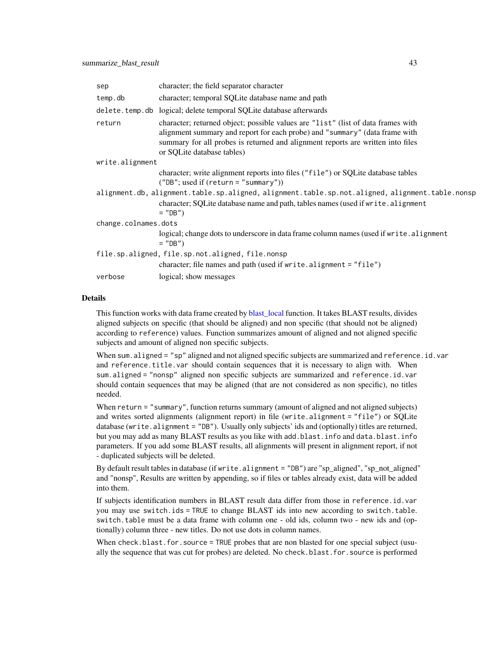<span id="page-42-0"></span>

| sep                                                                                             | character; the field separator character                                                                                                                                                                                                                                         |  |
|-------------------------------------------------------------------------------------------------|----------------------------------------------------------------------------------------------------------------------------------------------------------------------------------------------------------------------------------------------------------------------------------|--|
| temp.db                                                                                         | character; temporal SQLite database name and path                                                                                                                                                                                                                                |  |
|                                                                                                 | delete.temp.db logical; delete temporal SQLite database afterwards                                                                                                                                                                                                               |  |
| return                                                                                          | character; returned object; possible values are "list" (list of data frames with<br>alignment summary and report for each probe) and "summary" (data frame with<br>summary for all probes is returned and alignment reports are written into files<br>or SQLite database tables) |  |
| write.alignment                                                                                 |                                                                                                                                                                                                                                                                                  |  |
|                                                                                                 | character; write alignment reports into files ("file") or SQLite database tables<br>$("DB";$ used if $(return = "summary"))$                                                                                                                                                     |  |
| alignment.db, alignment.table.sp.aligned, alignment.table.sp.not.aligned, alignment.table.nonsp |                                                                                                                                                                                                                                                                                  |  |
|                                                                                                 | character; SQLite database name and path, tables names (used if write alignment<br>$=$ "DB")                                                                                                                                                                                     |  |
| change.colnames.dots                                                                            |                                                                                                                                                                                                                                                                                  |  |
|                                                                                                 | logical; change dots to underscore in data frame column names (used if write alignment<br>$=$ "DB")                                                                                                                                                                              |  |
| file.sp.aligned, file.sp.not.aligned, file.nonsp                                                |                                                                                                                                                                                                                                                                                  |  |
|                                                                                                 | character; file names and path (used if write.alignment = "file")                                                                                                                                                                                                                |  |
| verbose                                                                                         | logical; show messages                                                                                                                                                                                                                                                           |  |

# Details

This function works with data frame created by [blast\\_local](#page-8-1) function. It takes BLAST results, divides aligned subjects on specific (that should be aligned) and non specific (that should not be aligned) according to reference) values. Function summarizes amount of aligned and not aligned specific subjects and amount of aligned non specific subjects.

When sum.aligned = "sp" aligned and not aligned specific subjects are summarized and reference.id.var and reference.title.var should contain sequences that it is necessary to align with. When sum.aligned = "nonsp" aligned non specific subjects are summarized and reference.id.var should contain sequences that may be aligned (that are not considered as non specific), no titles needed.

When return = "summary", function returns summary (amount of aligned and not aligned subjects) and writes sorted alignments (alignment report) in file (write.alignment = "file") or SQLite database (write.alignment = "DB"). Usually only subjects' ids and (optionally) titles are returned, but you may add as many BLAST results as you like with add.blast.info and data.blast.info parameters. If you add some BLAST results, all alignments will present in alignment report, if not - duplicated subjects will be deleted.

By default result tables in database (if write.alignment = "DB") are "sp\_aligned", "sp\_not\_aligned" and "nonsp", Results are written by appending, so if files or tables already exist, data will be added into them.

If subjects identification numbers in BLAST result data differ from those in reference.id.var you may use switch.ids = TRUE to change BLAST ids into new according to switch.table. switch.table must be a data frame with column one - old ids, column two - new ids and (optionally) column three - new titles. Do not use dots in column names.

When check.blast.for.source = TRUE probes that are non blasted for one special subject (usually the sequence that was cut for probes) are deleted. No check.blast.for.source is performed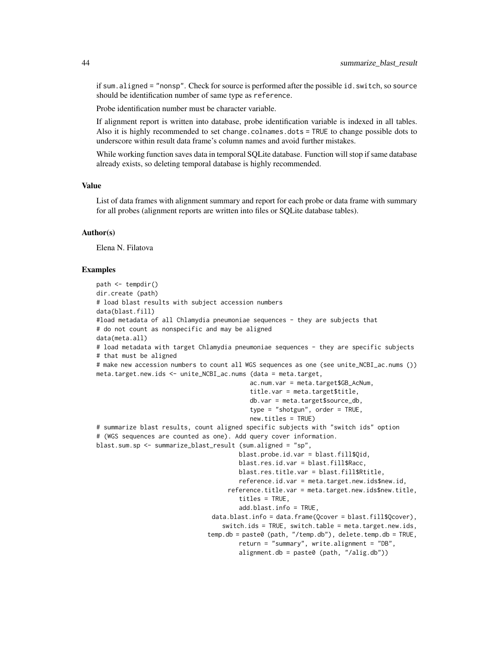if sum.aligned = "nonsp". Check for source is performed after the possible id. switch, so source should be identification number of same type as reference.

Probe identification number must be character variable.

If alignment report is written into database, probe identification variable is indexed in all tables. Also it is highly recommended to set change.colnames.dots = TRUE to change possible dots to underscore within result data frame's column names and avoid further mistakes.

While working function saves data in temporal SQLite database. Function will stop if same database already exists, so deleting temporal database is highly recommended.

#### Value

List of data frames with alignment summary and report for each probe or data frame with summary for all probes (alignment reports are written into files or SQLite database tables).

#### Author(s)

Elena N. Filatova

#### Examples

```
path <- tempdir()
dir.create (path)
# load blast results with subject accession numbers
data(blast.fill)
#load metadata of all Chlamydia pneumoniae sequences - they are subjects that
# do not count as nonspecific and may be aligned
data(meta.all)
# load metadata with target Chlamydia pneumoniae sequences - they are specific subjects
# that must be aligned
# make new accession numbers to count all WGS sequences as one (see unite_NCBI_ac.nums ())
meta.target.new.ids <- unite_NCBI_ac.nums (data = meta.target,
                                          ac.num.var = meta.target$GB_AcNum,
                                          title.var = meta.target$title,
                                          db.var = meta.target$source_db,
                                          type = "shotgun", order = TRUE,
                                          new.titles = TRUE)
# summarize blast results, count aligned specific subjects with "switch ids" option
# (WGS sequences are counted as one). Add query cover information.
blast.sum.sp <- summarize_blast_result (sum.aligned = "sp",
                                       blast.probe.id.var = blast.fill$Qid,
                                       blast.res.id.var = blast.fill$Racc,
                                       blast.res.title.var = blast.fill$Rtitle,
                                       reference.id.var = meta.target.new.ids$new.id,
                                    reference.title.var = meta.target.new.ids$new.title,
                                       titles = TRUE,
                                       add.blast.info = TRUE,
                                data.blast.info = data.frame(Qcover = blast.fill$Qcover),
                                  switch.ids = TRUE, switch.table = meta.target.new.ids,
                               temp.db = paste0 (path, "/temp.db"), delete.temp.db = TRUE,
                                       return = "summary", write.alignment = "DB",
                                       alignment.db = paste0 (path, "/alig.db"))
```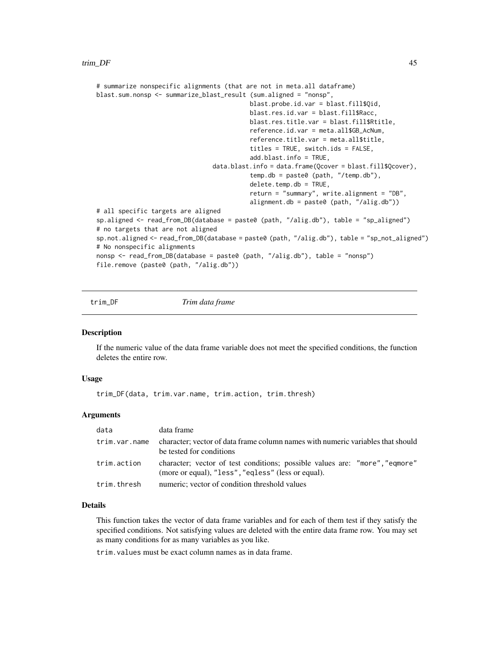```
# summarize nonspecific alignments (that are not in meta.all dataframe)
blast.sum.nonsp <- summarize_blast_result (sum.aligned = "nonsp",
                                          blast.probe.id.var = blast.fill$Qid,
                                          blast.res.id.var = blast.fill$Racc,
                                          blast.res.title.var = blast.fill$Rtitle,
                                          reference.id.var = meta.all$GB_AcNum,
                                          reference.title.var = meta.all$title,
                                          titles = TRUE, switch.ids = FALSE,
                                          add.blast.info = TRUE,
                                data.blast.info = data.frame(Qcover = blast.fill$Qcover),
                                          temp.db = paste0 (path, "/temp.db"),
                                          delete.temp.db = TRUE,
                                          return = "summary", write.alignment = "DB",
                                          alignment.db = paste0 (path, "/alig.db"))
# all specific targets are aligned
sp.aligned <- read_from_DB(database = paste0 (path, "/alig.db"), table = "sp_aligned")
# no targets that are not aligned
sp.not.aligned <- read_from_DB(database = paste0 (path, "/alig.db"), table = "sp_not_aligned")
# No nonspecific alignments
nonsp <- read_from_DB(database = paste0 (path, "/alig.db"), table = "nonsp")
file.remove (paste0 (path, "/alig.db"))
```
trim\_DF *Trim data frame*

### **Description**

If the numeric value of the data frame variable does not meet the specified conditions, the function deletes the entire row.

#### Usage

trim\_DF(data, trim.var.name, trim.action, trim.thresh)

#### Arguments

| data          | data frame                                                                                                                        |
|---------------|-----------------------------------------------------------------------------------------------------------------------------------|
| trim.var.name | character; vector of data frame column names with numeric variables that should<br>be tested for conditions                       |
| trim.action   | character; vector of test conditions; possible values are: "more", "eqmore"<br>(more or equal), "less", "eqless" (less or equal). |
| trim.thresh   | numeric; vector of condition threshold values                                                                                     |

# Details

This function takes the vector of data frame variables and for each of them test if they satisfy the specified conditions. Not satisfying values are deleted with the entire data frame row. You may set as many conditions for as many variables as you like.

trim.values must be exact column names as in data frame.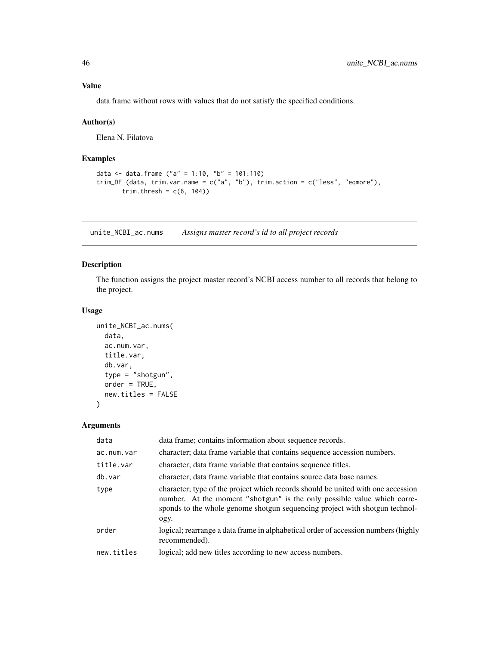# <span id="page-45-0"></span>Value

data frame without rows with values that do not satisfy the specified conditions.

# Author(s)

Elena N. Filatova

# Examples

```
data <- data.frame ("a" = 1:10, "b" = 101:110)
trim_DF (data, trim.var.name = c("a", "b"), trim.action = c("less", "eqmore"),
       trim.thresh = c(6, 104))
```
unite\_NCBI\_ac.nums *Assigns master record's id to all project records*

# Description

The function assigns the project master record's NCBI access number to all records that belong to the project.

# Usage

```
unite_NCBI_ac.nums(
  data,
 ac.num.var,
  title.var,
  db.var,
  type = "shotgun",
 order = TRUE,
  new.titles = FALSE
)
```
#### Arguments

| data       | data frame; contains information about sequence records.                                                                                                                                                                                           |
|------------|----------------------------------------------------------------------------------------------------------------------------------------------------------------------------------------------------------------------------------------------------|
| ac.num.var | character; data frame variable that contains sequence accession numbers.                                                                                                                                                                           |
| title.var  | character; data frame variable that contains sequence titles.                                                                                                                                                                                      |
| db.var     | character; data frame variable that contains source data base names.                                                                                                                                                                               |
| type       | character; type of the project which records should be united with one accession<br>number. At the moment "shotgun" is the only possible value which corre-<br>sponds to the whole genome shotgun sequencing project with shotgun technol-<br>ogy. |
| order      | logical; rearrange a data frame in alphabetical order of accession numbers (highly<br>recommended).                                                                                                                                                |
| new.titles | logical; add new titles according to new access numbers.                                                                                                                                                                                           |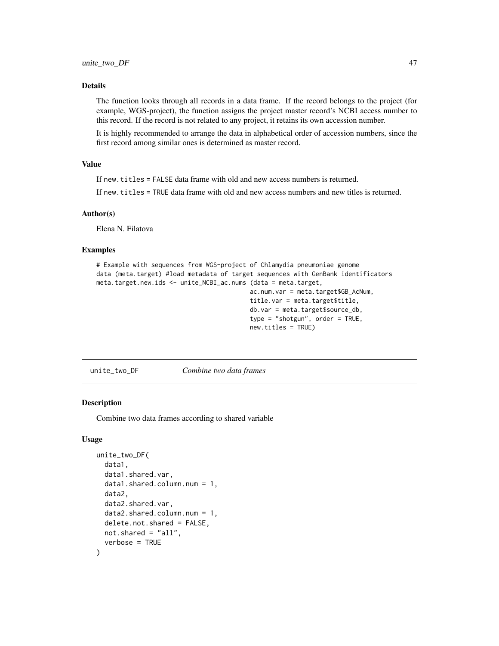### <span id="page-46-0"></span>Details

The function looks through all records in a data frame. If the record belongs to the project (for example, WGS-project), the function assigns the project master record's NCBI access number to this record. If the record is not related to any project, it retains its own accession number.

It is highly recommended to arrange the data in alphabetical order of accession numbers, since the first record among similar ones is determined as master record.

# Value

If new.titles = FALSE data frame with old and new access numbers is returned.

If new.titles = TRUE data frame with old and new access numbers and new titles is returned.

#### Author(s)

Elena N. Filatova

#### Examples

```
# Example with sequences from WGS-project of Chlamydia pneumoniae genome
data (meta.target) #load metadata of target sequences with GenBank identificators
meta.target.new.ids <- unite_NCBI_ac.nums (data = meta.target,
                                          ac.num.var = meta.target$GB_AcNum,
                                          title.var = meta.target$title,
                                          db.var = meta.target$source_db,
                                          type = "shotgun", order = TRUE,
                                          new.titles = TRUE)
```
unite\_two\_DF *Combine two data frames*

#### Description

Combine two data frames according to shared variable

#### Usage

```
unite_two_DF(
  data1,
  data1.shared.var,
  data1.shared.column.num = 1,
  data2,
  data2.shared.var,
  data2.shared.column.num = 1,
  delete.not.shared = FALSE,
  not.shared = "all",
  verbose = TRUE
)
```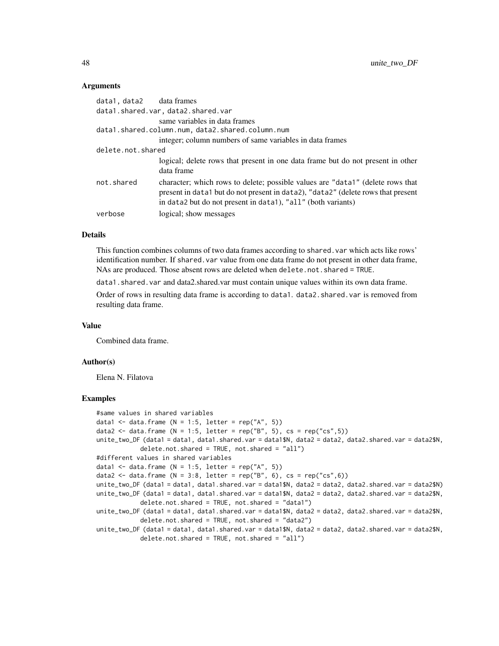#### Arguments

| data1, data2      | data frames                                                                                                                                                                                                                        |
|-------------------|------------------------------------------------------------------------------------------------------------------------------------------------------------------------------------------------------------------------------------|
|                   | data1.shared.var, data2.shared.var                                                                                                                                                                                                 |
|                   | same variables in data frames<br>data1.shared.column.num,data2.shared.column.num                                                                                                                                                   |
|                   | integer; column numbers of same variables in data frames                                                                                                                                                                           |
| delete.not.shared |                                                                                                                                                                                                                                    |
|                   | logical; delete rows that present in one data frame but do not present in other<br>data frame                                                                                                                                      |
| not.shared        | character; which rows to delete; possible values are "data1" (delete rows that<br>present in data1 but do not present in data2), "data2" (delete rows that present<br>in data2 but do not present in data1), "all" (both variants) |
| verbose           | logical; show messages                                                                                                                                                                                                             |

#### Details

This function combines columns of two data frames according to shared. var which acts like rows' identification number. If shared.var value from one data frame do not present in other data frame, NAs are produced. Those absent rows are deleted when delete.not.shared = TRUE.

data1.shared.var and data2.shared.var must contain unique values within its own data frame.

Order of rows in resulting data frame is according to data1. data2. shared. var is removed from resulting data frame.

#### Value

Combined data frame.

#### Author(s)

Elena N. Filatova

#### Examples

```
#same values in shared variables
data1 <- data.frame (N = 1:5, letter = rep("A", 5))
data2 <- data.frame (N = 1:5, letter = rep("B", 5), cs = rep("cs",5))
unite_two_DF (data1 = data1, data1.shared.var = data1$N, data2 = data2, data2.shared.var = data2$N,
            delete.not.shared = TRUE, not.shared = "all")
#different values in shared variables
data1 <- data.frame (N = 1:5, letter = rep("A", 5))
data2 <- data.frame (N = 3:8, letter = rep("B", 6), cs = rep("cs",6))
unite_two_DF (data1 = data1, data1.shared.var = data1$N, data2 = data2, data2.shared.var = data2$N)
unite_two_DF (data1 = data1, data1.shared.var = data1$N, data2 = data2, data2.shared.var = data2$N,
            delete.not.shared = TRUE, not.shared = "data1")
unite_two_DF (data1 = data1, data1.shared.var = data1$N, data2 = data2, data2.shared.var = data2$N,
            delete.not.shared = TRUE, not.shared = "data2")
unite_two_DF (data1 = data1, data1.shared.var = data1$N, data2 = data2, data2.shared.var = data2$N,
            delete.not.shared = TRUE, not.shared = "all")
```